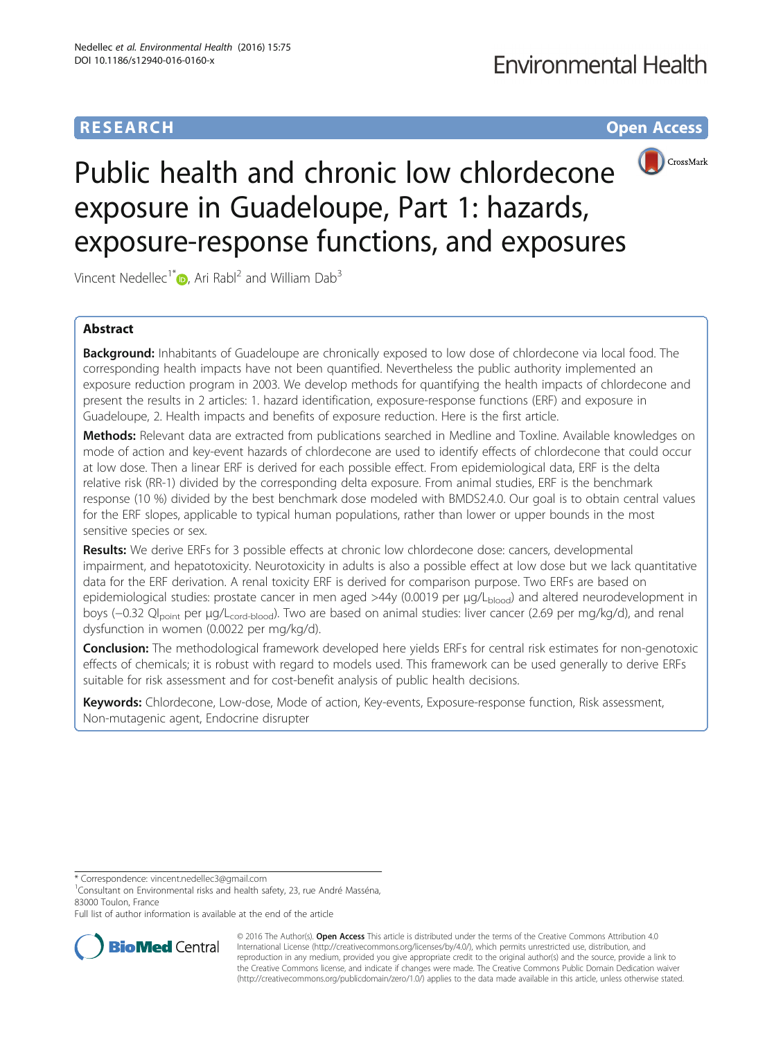# **RESEARCH CHE Open Access**



# Public health and chronic low chlordecone exposure in Guadeloupe, Part 1: hazards, exposure-response functions, and exposures

Vincent Nedellec<sup>1\*</sup> $\bullet$ [,](http://orcid.org/0000-0001-8177-4777) Ari Rabl<sup>2</sup> and William Dab<sup>3</sup>

# Abstract

**Background:** Inhabitants of Guadeloupe are chronically exposed to low dose of chlordecone via local food. The corresponding health impacts have not been quantified. Nevertheless the public authority implemented an exposure reduction program in 2003. We develop methods for quantifying the health impacts of chlordecone and present the results in 2 articles: 1. hazard identification, exposure-response functions (ERF) and exposure in Guadeloupe, 2. Health impacts and benefits of exposure reduction. Here is the first article.

Methods: Relevant data are extracted from publications searched in Medline and Toxline. Available knowledges on mode of action and key-event hazards of chlordecone are used to identify effects of chlordecone that could occur at low dose. Then a linear ERF is derived for each possible effect. From epidemiological data, ERF is the delta relative risk (RR-1) divided by the corresponding delta exposure. From animal studies, ERF is the benchmark response (10 %) divided by the best benchmark dose modeled with BMDS2.4.0. Our goal is to obtain central values for the ERF slopes, applicable to typical human populations, rather than lower or upper bounds in the most sensitive species or sex.

Results: We derive ERFs for 3 possible effects at chronic low chlordecone dose: cancers, developmental impairment, and hepatotoxicity. Neurotoxicity in adults is also a possible effect at low dose but we lack quantitative data for the ERF derivation. A renal toxicity ERF is derived for comparison purpose. Two ERFs are based on epidemiological studies: prostate cancer in men aged >44y (0.0019 per μg/L<sub>blood</sub>) and altered neurodevelopment in boys (-0.32 Ql<sub>point</sub> per μg/L<sub>cord-blood</sub>). Two are based on animal studies: liver cancer (2.69 per mg/kg/d), and renal dysfunction in women (0.0022 per mg/kg/d).

Conclusion: The methodological framework developed here yields ERFs for central risk estimates for non-genotoxic effects of chemicals; it is robust with regard to models used. This framework can be used generally to derive ERFs suitable for risk assessment and for cost-benefit analysis of public health decisions.

Keywords: Chlordecone, Low-dose, Mode of action, Key-events, Exposure-response function, Risk assessment, Non-mutagenic agent, Endocrine disrupter

\* Correspondence: [vincent.nedellec3@gmail.com](mailto:vincent.nedellec3@gmail.com) <sup>1</sup>

<sup>1</sup> Consultant on Environmental risks and health safety, 23, rue André Masséna, 83000 Toulon, France

Full list of author information is available at the end of the article



© 2016 The Author(s). Open Access This article is distributed under the terms of the Creative Commons Attribution 4.0 International License [\(http://creativecommons.org/licenses/by/4.0/](http://creativecommons.org/licenses/by/4.0/)), which permits unrestricted use, distribution, and reproduction in any medium, provided you give appropriate credit to the original author(s) and the source, provide a link to the Creative Commons license, and indicate if changes were made. The Creative Commons Public Domain Dedication waiver [\(http://creativecommons.org/publicdomain/zero/1.0/](http://creativecommons.org/publicdomain/zero/1.0/)) applies to the data made available in this article, unless otherwise stated.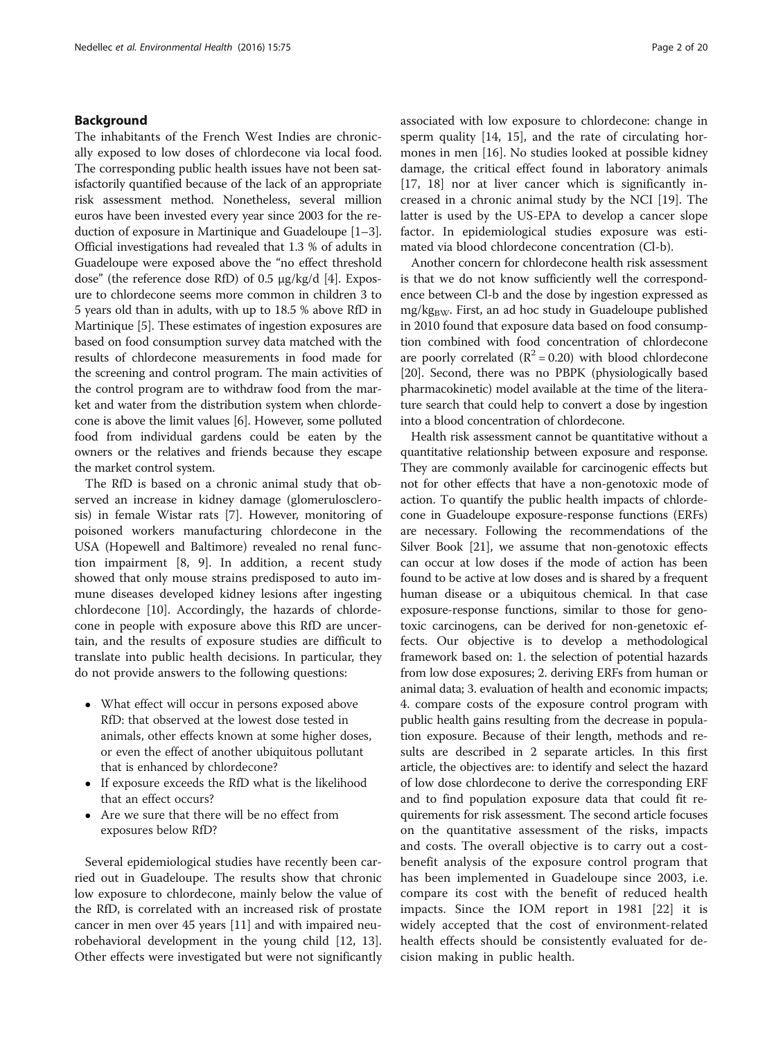# Background

The inhabitants of the French West Indies are chronically exposed to low doses of chlordecone via local food. The corresponding public health issues have not been satisfactorily quantified because of the lack of an appropriate risk assessment method. Nonetheless, several million euros have been invested every year since 2003 for the reduction of exposure in Martinique and Guadeloupe [[1](#page-16-0)–[3](#page-17-0)]. Official investigations had revealed that 1.3 % of adults in Guadeloupe were exposed above the "no effect threshold dose" (the reference dose RfD) of 0.5 μg/kg/d [\[4](#page-17-0)]. Exposure to chlordecone seems more common in children 3 to 5 years old than in adults, with up to 18.5 % above RfD in Martinique [\[5](#page-17-0)]. These estimates of ingestion exposures are based on food consumption survey data matched with the results of chlordecone measurements in food made for the screening and control program. The main activities of the control program are to withdraw food from the market and water from the distribution system when chlordecone is above the limit values [[6](#page-17-0)]. However, some polluted food from individual gardens could be eaten by the owners or the relatives and friends because they escape the market control system.

The RfD is based on a chronic animal study that observed an increase in kidney damage (glomerulosclerosis) in female Wistar rats [\[7](#page-17-0)]. However, monitoring of poisoned workers manufacturing chlordecone in the USA (Hopewell and Baltimore) revealed no renal function impairment [\[8](#page-17-0), [9\]](#page-17-0). In addition, a recent study showed that only mouse strains predisposed to auto immune diseases developed kidney lesions after ingesting chlordecone [[10](#page-17-0)]. Accordingly, the hazards of chlordecone in people with exposure above this RfD are uncertain, and the results of exposure studies are difficult to translate into public health decisions. In particular, they do not provide answers to the following questions:

- What effect will occur in persons exposed above RfD: that observed at the lowest dose tested in animals, other effects known at some higher doses, or even the effect of another ubiquitous pollutant that is enhanced by chlordecone?
- If exposure exceeds the RfD what is the likelihood that an effect occurs?
- Are we sure that there will be no effect from exposures below RfD?

Several epidemiological studies have recently been carried out in Guadeloupe. The results show that chronic low exposure to chlordecone, mainly below the value of the RfD, is correlated with an increased risk of prostate cancer in men over 45 years [\[11\]](#page-17-0) and with impaired neurobehavioral development in the young child [[12](#page-17-0), [13](#page-17-0)]. Other effects were investigated but were not significantly

associated with low exposure to chlordecone: change in sperm quality [\[14](#page-17-0), [15](#page-17-0)], and the rate of circulating hormones in men [[16\]](#page-17-0). No studies looked at possible kidney damage, the critical effect found in laboratory animals [[17, 18](#page-17-0)] nor at liver cancer which is significantly increased in a chronic animal study by the NCI [[19](#page-17-0)]. The latter is used by the US-EPA to develop a cancer slope factor. In epidemiological studies exposure was estimated via blood chlordecone concentration (Cl-b).

Another concern for chlordecone health risk assessment is that we do not know sufficiently well the correspondence between Cl-b and the dose by ingestion expressed as  $mg/kg<sub>BW</sub>$ . First, an ad hoc study in Guadeloupe published in 2010 found that exposure data based on food consumption combined with food concentration of chlordecone are poorly correlated  $(R^2 = 0.20)$  with blood chlordecone [[20](#page-17-0)]. Second, there was no PBPK (physiologically based pharmacokinetic) model available at the time of the literature search that could help to convert a dose by ingestion into a blood concentration of chlordecone.

Health risk assessment cannot be quantitative without a quantitative relationship between exposure and response. They are commonly available for carcinogenic effects but not for other effects that have a non-genotoxic mode of action. To quantify the public health impacts of chlordecone in Guadeloupe exposure-response functions (ERFs) are necessary. Following the recommendations of the Silver Book [\[21\]](#page-17-0), we assume that non-genotoxic effects can occur at low doses if the mode of action has been found to be active at low doses and is shared by a frequent human disease or a ubiquitous chemical. In that case exposure-response functions, similar to those for genotoxic carcinogens, can be derived for non-genetoxic effects. Our objective is to develop a methodological framework based on: 1. the selection of potential hazards from low dose exposures; 2. deriving ERFs from human or animal data; 3. evaluation of health and economic impacts; 4. compare costs of the exposure control program with public health gains resulting from the decrease in population exposure. Because of their length, methods and results are described in 2 separate articles. In this first article, the objectives are: to identify and select the hazard of low dose chlordecone to derive the corresponding ERF and to find population exposure data that could fit requirements for risk assessment. The second article focuses on the quantitative assessment of the risks, impacts and costs. The overall objective is to carry out a costbenefit analysis of the exposure control program that has been implemented in Guadeloupe since 2003, i.e. compare its cost with the benefit of reduced health impacts. Since the IOM report in 1981 [[22](#page-17-0)] it is widely accepted that the cost of environment-related health effects should be consistently evaluated for decision making in public health.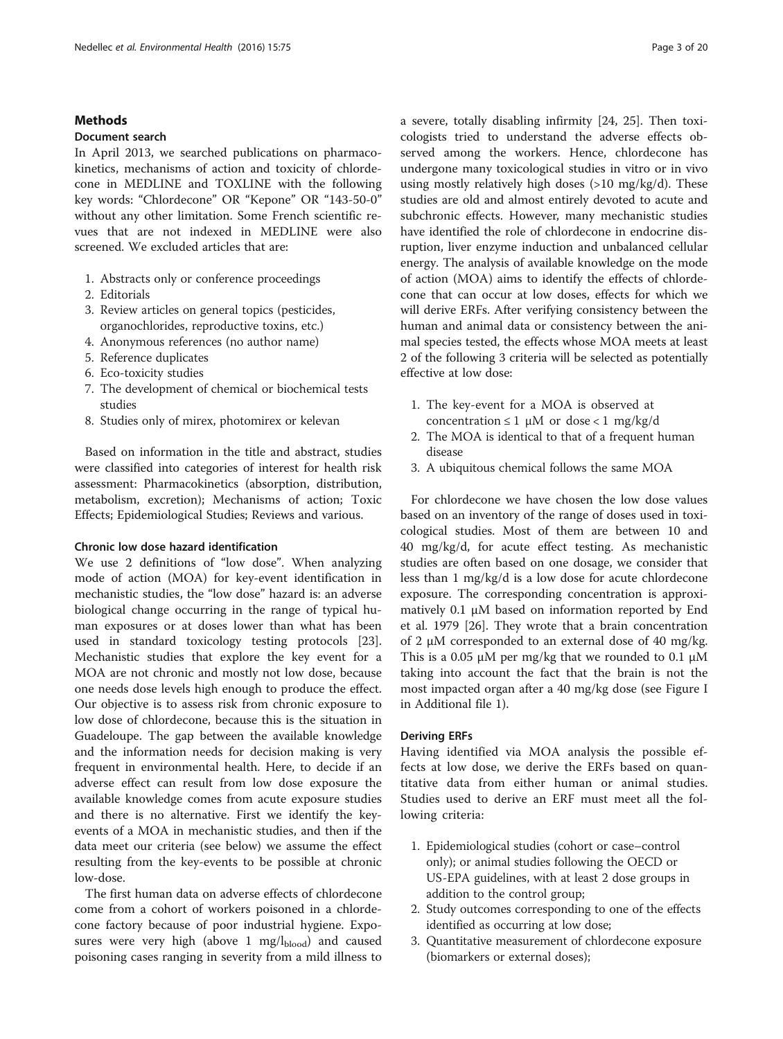# Methods

### Document search

In April 2013, we searched publications on pharmacokinetics, mechanisms of action and toxicity of chlordecone in MEDLINE and TOXLINE with the following key words: "Chlordecone" OR "Kepone" OR "143-50-0" without any other limitation. Some French scientific revues that are not indexed in MEDLINE were also screened. We excluded articles that are:

- 1. Abstracts only or conference proceedings
- 2. Editorials
- 3. Review articles on general topics (pesticides, organochlorides, reproductive toxins, etc.)
- 4. Anonymous references (no author name)
- 5. Reference duplicates
- 6. Eco-toxicity studies
- 7. The development of chemical or biochemical tests studies
- 8. Studies only of mirex, photomirex or kelevan

Based on information in the title and abstract, studies were classified into categories of interest for health risk assessment: Pharmacokinetics (absorption, distribution, metabolism, excretion); Mechanisms of action; Toxic Effects; Epidemiological Studies; Reviews and various.

#### Chronic low dose hazard identification

We use 2 definitions of "low dose". When analyzing mode of action (MOA) for key-event identification in mechanistic studies, the "low dose" hazard is: an adverse biological change occurring in the range of typical human exposures or at doses lower than what has been used in standard toxicology testing protocols [\[23](#page-17-0)]. Mechanistic studies that explore the key event for a MOA are not chronic and mostly not low dose, because one needs dose levels high enough to produce the effect. Our objective is to assess risk from chronic exposure to low dose of chlordecone, because this is the situation in Guadeloupe. The gap between the available knowledge and the information needs for decision making is very frequent in environmental health. Here, to decide if an adverse effect can result from low dose exposure the available knowledge comes from acute exposure studies and there is no alternative. First we identify the keyevents of a MOA in mechanistic studies, and then if the data meet our criteria (see below) we assume the effect resulting from the key-events to be possible at chronic low-dose.

The first human data on adverse effects of chlordecone come from a cohort of workers poisoned in a chlordecone factory because of poor industrial hygiene. Exposures were very high (above 1 mg/ $l_{\text{blood}}$ ) and caused poisoning cases ranging in severity from a mild illness to a severe, totally disabling infirmity [[24, 25\]](#page-17-0). Then toxicologists tried to understand the adverse effects observed among the workers. Hence, chlordecone has undergone many toxicological studies in vitro or in vivo using mostly relatively high doses (>10 mg/kg/d). These studies are old and almost entirely devoted to acute and subchronic effects. However, many mechanistic studies have identified the role of chlordecone in endocrine disruption, liver enzyme induction and unbalanced cellular energy. The analysis of available knowledge on the mode of action (MOA) aims to identify the effects of chlordecone that can occur at low doses, effects for which we will derive ERFs. After verifying consistency between the human and animal data or consistency between the animal species tested, the effects whose MOA meets at least 2 of the following 3 criteria will be selected as potentially effective at low dose:

- 1. The key-event for a MOA is observed at concentration  $\leq 1$  µM or dose < 1 mg/kg/d
- 2. The MOA is identical to that of a frequent human disease
- 3. A ubiquitous chemical follows the same MOA

For chlordecone we have chosen the low dose values based on an inventory of the range of doses used in toxicological studies. Most of them are between 10 and 40 mg/kg/d, for acute effect testing. As mechanistic studies are often based on one dosage, we consider that less than 1 mg/kg/d is a low dose for acute chlordecone exposure. The corresponding concentration is approximatively 0.1 μM based on information reported by End et al. 1979 [[26](#page-17-0)]. They wrote that a brain concentration of 2 μM corresponded to an external dose of 40 mg/kg. This is a 0.05  $\mu$ M per mg/kg that we rounded to 0.1  $\mu$ M taking into account the fact that the brain is not the most impacted organ after a 40 mg/kg dose (see Figure I in Additional file [1\)](#page-16-0).

#### Deriving ERFs

Having identified via MOA analysis the possible effects at low dose, we derive the ERFs based on quantitative data from either human or animal studies. Studies used to derive an ERF must meet all the following criteria:

- 1. Epidemiological studies (cohort or case–control only); or animal studies following the OECD or US-EPA guidelines, with at least 2 dose groups in addition to the control group;
- 2. Study outcomes corresponding to one of the effects identified as occurring at low dose;
- 3. Quantitative measurement of chlordecone exposure (biomarkers or external doses);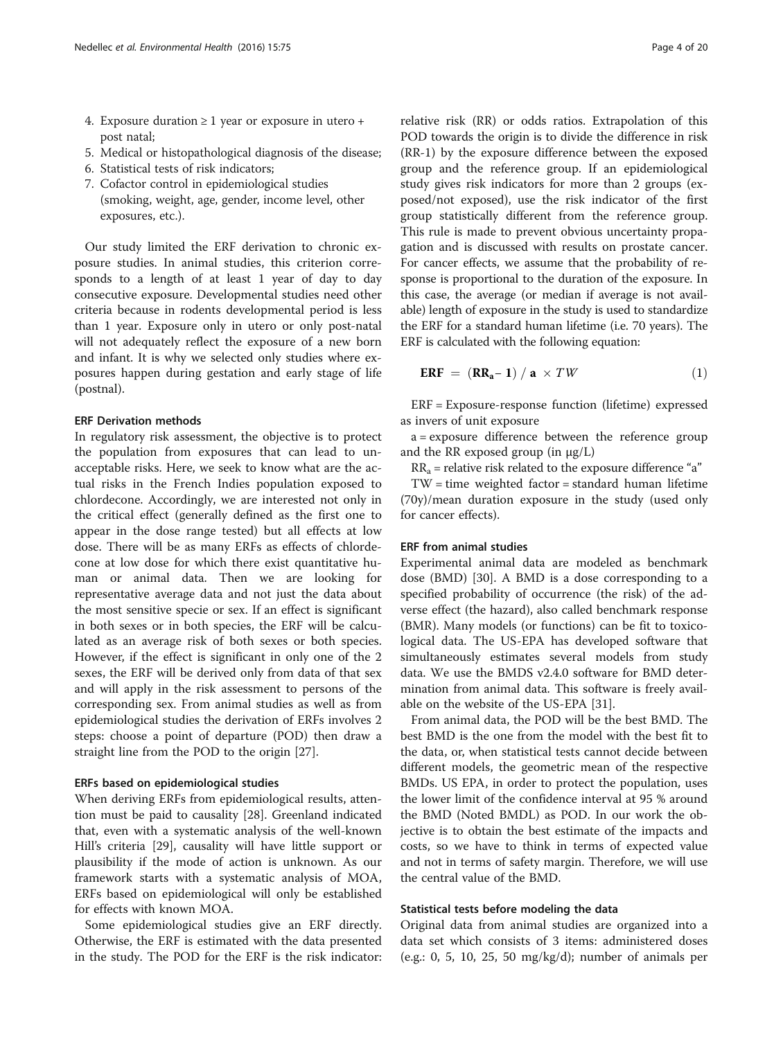- <span id="page-3-0"></span>4. Exposure duration  $\geq 1$  year or exposure in utero + post natal;
- 5. Medical or histopathological diagnosis of the disease;
- 6. Statistical tests of risk indicators;
- 7. Cofactor control in epidemiological studies (smoking, weight, age, gender, income level, other exposures, etc.).

Our study limited the ERF derivation to chronic exposure studies. In animal studies, this criterion corresponds to a length of at least 1 year of day to day consecutive exposure. Developmental studies need other criteria because in rodents developmental period is less than 1 year. Exposure only in utero or only post-natal will not adequately reflect the exposure of a new born and infant. It is why we selected only studies where exposures happen during gestation and early stage of life (postnal).

#### ERF Derivation methods

In regulatory risk assessment, the objective is to protect the population from exposures that can lead to unacceptable risks. Here, we seek to know what are the actual risks in the French Indies population exposed to chlordecone. Accordingly, we are interested not only in the critical effect (generally defined as the first one to appear in the dose range tested) but all effects at low dose. There will be as many ERFs as effects of chlordecone at low dose for which there exist quantitative human or animal data. Then we are looking for representative average data and not just the data about the most sensitive specie or sex. If an effect is significant in both sexes or in both species, the ERF will be calculated as an average risk of both sexes or both species. However, if the effect is significant in only one of the 2 sexes, the ERF will be derived only from data of that sex and will apply in the risk assessment to persons of the corresponding sex. From animal studies as well as from epidemiological studies the derivation of ERFs involves 2 steps: choose a point of departure (POD) then draw a straight line from the POD to the origin [\[27](#page-17-0)].

#### ERFs based on epidemiological studies

When deriving ERFs from epidemiological results, attention must be paid to causality [\[28\]](#page-17-0). Greenland indicated that, even with a systematic analysis of the well-known Hill's criteria [[29\]](#page-17-0), causality will have little support or plausibility if the mode of action is unknown. As our framework starts with a systematic analysis of MOA, ERFs based on epidemiological will only be established for effects with known MOA.

Some epidemiological studies give an ERF directly. Otherwise, the ERF is estimated with the data presented in the study. The POD for the ERF is the risk indicator: relative risk (RR) or odds ratios. Extrapolation of this POD towards the origin is to divide the difference in risk (RR-1) by the exposure difference between the exposed group and the reference group. If an epidemiological study gives risk indicators for more than 2 groups (exposed/not exposed), use the risk indicator of the first group statistically different from the reference group. This rule is made to prevent obvious uncertainty propagation and is discussed with results on prostate cancer. For cancer effects, we assume that the probability of response is proportional to the duration of the exposure. In this case, the average (or median if average is not available) length of exposure in the study is used to standardize the ERF for a standard human lifetime (i.e. 70 years). The ERF is calculated with the following equation:

$$
ERF = (RRa - 1) / a \times TW
$$
 (1)

ERF = Exposure-response function (lifetime) expressed as invers of unit exposure

a = exposure difference between the reference group and the RR exposed group (in μg/L)

 $RR_a$  = relative risk related to the exposure difference "a"

TW = time weighted factor = standard human lifetime (70y)/mean duration exposure in the study (used only for cancer effects).

#### ERF from animal studies

Experimental animal data are modeled as benchmark dose (BMD) [[30](#page-17-0)]. A BMD is a dose corresponding to a specified probability of occurrence (the risk) of the adverse effect (the hazard), also called benchmark response (BMR). Many models (or functions) can be fit to toxicological data. The US-EPA has developed software that simultaneously estimates several models from study data. We use the BMDS v2.4.0 software for BMD determination from animal data. This software is freely available on the website of the US-EPA [\[31\]](#page-17-0).

From animal data, the POD will be the best BMD. The best BMD is the one from the model with the best fit to the data, or, when statistical tests cannot decide between different models, the geometric mean of the respective BMDs. US EPA, in order to protect the population, uses the lower limit of the confidence interval at 95 % around the BMD (Noted BMDL) as POD. In our work the objective is to obtain the best estimate of the impacts and costs, so we have to think in terms of expected value and not in terms of safety margin. Therefore, we will use the central value of the BMD.

### Statistical tests before modeling the data

Original data from animal studies are organized into a data set which consists of 3 items: administered doses (e.g.: 0, 5, 10, 25, 50 mg/kg/d); number of animals per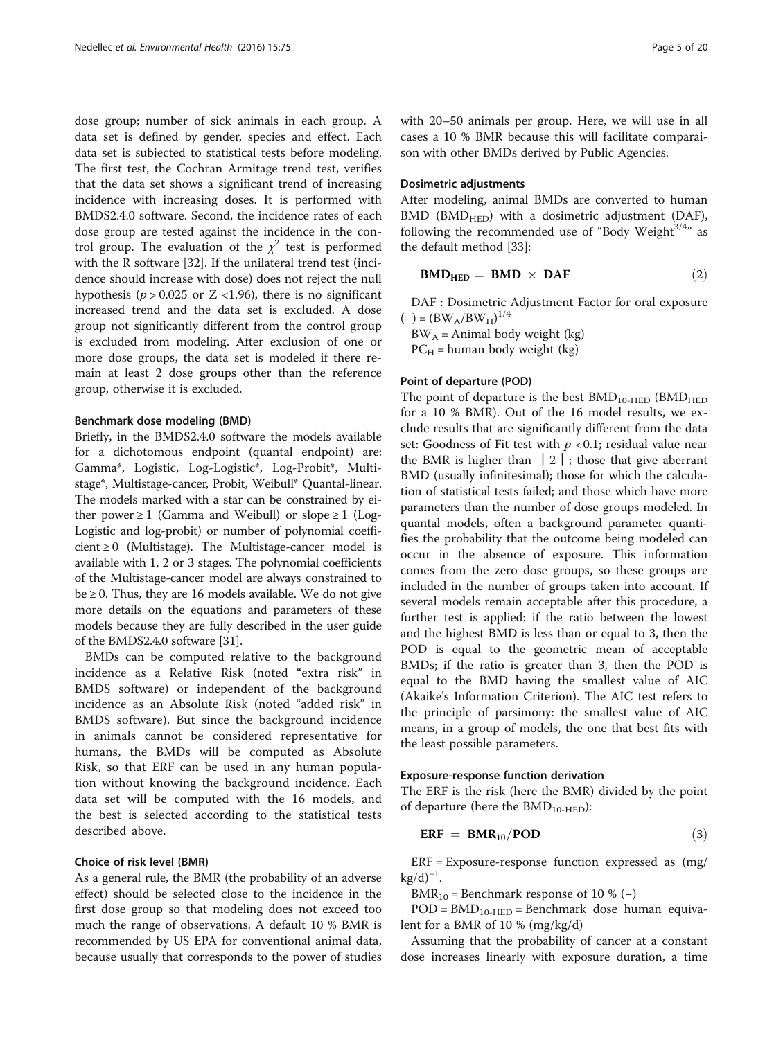<span id="page-4-0"></span>dose group; number of sick animals in each group. A data set is defined by gender, species and effect. Each data set is subjected to statistical tests before modeling. The first test, the Cochran Armitage trend test, verifies that the data set shows a significant trend of increasing incidence with increasing doses. It is performed with BMDS2.4.0 software. Second, the incidence rates of each dose group are tested against the incidence in the control group. The evaluation of the  $\chi^2$  test is performed with the R software [[32](#page-17-0)]. If the unilateral trend test (incidence should increase with dose) does not reject the null hypothesis ( $p > 0.025$  or Z <1.96), there is no significant increased trend and the data set is excluded. A dose group not significantly different from the control group is excluded from modeling. After exclusion of one or more dose groups, the data set is modeled if there remain at least 2 dose groups other than the reference group, otherwise it is excluded.

#### Benchmark dose modeling (BMD)

Briefly, in the BMDS2.4.0 software the models available for a dichotomous endpoint (quantal endpoint) are: Gamma\*, Logistic, Log-Logistic\*, Log-Probit\*, Multistage\*, Multistage-cancer, Probit, Weibull\* Quantal-linear. The models marked with a star can be constrained by either power  $\geq 1$  (Gamma and Weibull) or slope  $\geq 1$  (Log-Logistic and log-probit) or number of polynomial coeffi $cient \geq 0$  (Multistage). The Multistage-cancer model is available with 1, 2 or 3 stages. The polynomial coefficients of the Multistage-cancer model are always constrained to  $be \ge 0$ . Thus, they are 16 models available. We do not give more details on the equations and parameters of these models because they are fully described in the user guide of the BMDS2.4.0 software [[31](#page-17-0)].

BMDs can be computed relative to the background incidence as a Relative Risk (noted "extra risk" in BMDS software) or independent of the background incidence as an Absolute Risk (noted "added risk" in BMDS software). But since the background incidence in animals cannot be considered representative for humans, the BMDs will be computed as Absolute Risk, so that ERF can be used in any human population without knowing the background incidence. Each data set will be computed with the 16 models, and the best is selected according to the statistical tests described above.

#### Choice of risk level (BMR)

As a general rule, the BMR (the probability of an adverse effect) should be selected close to the incidence in the first dose group so that modeling does not exceed too much the range of observations. A default 10 % BMR is recommended by US EPA for conventional animal data, because usually that corresponds to the power of studies with 20–50 animals per group. Here, we will use in all cases a 10 % BMR because this will facilitate comparaison with other BMDs derived by Public Agencies.

# Dosimetric adjustments

After modeling, animal BMDs are converted to human  $BMD$  ( $BMD<sub>HED</sub>$ ) with a dosimetric adjustment ( $DAF$ ), following the recommended use of "Body Weight $3/4$ " as the default method [[33\]](#page-17-0):

$$
BMD_{HED} = BMD \times DAF \qquad (2)
$$

DAF : Dosimetric Adjustment Factor for oral exposure  $(-) = (BW_A/BW_H)^{1/4}$ 

 $BW_A = Animal body weight (kg)$ 

 $PC_H$  = human body weight (kg)

#### Point of departure (POD)

The point of departure is the best  $BMD_{10-HED}$  ( $BMD_{HED}$ ) for a 10 % BMR). Out of the 16 model results, we exclude results that are significantly different from the data set: Goodness of Fit test with  $p < 0.1$ ; residual value near the BMR is higher than  $|2|$ ; those that give aberrant BMD (usually infinitesimal); those for which the calculation of statistical tests failed; and those which have more parameters than the number of dose groups modeled. In quantal models, often a background parameter quantifies the probability that the outcome being modeled can occur in the absence of exposure. This information comes from the zero dose groups, so these groups are included in the number of groups taken into account. If several models remain acceptable after this procedure, a further test is applied: if the ratio between the lowest and the highest BMD is less than or equal to 3, then the POD is equal to the geometric mean of acceptable BMDs; if the ratio is greater than 3, then the POD is equal to the BMD having the smallest value of AIC (Akaike's Information Criterion). The AIC test refers to the principle of parsimony: the smallest value of AIC means, in a group of models, the one that best fits with the least possible parameters.

#### Exposure-response function derivation

The ERF is the risk (here the BMR) divided by the point of departure (here the  $BMD_{10-HED}$ ):

$$
ERF = BMR_{10}/POD \qquad (3)
$$

 $ERF = Exposure-response$  function expressed as  $(mg)/$  $kg/d)^{-1}$ .

BMR<sub>10</sub> = Benchmark response of 10 %  $(-)$ 

 $POD = BMD_{10-HED} = \text{Benchmark}$  dose human equivalent for a BMR of 10 % (mg/kg/d)

Assuming that the probability of cancer at a constant dose increases linearly with exposure duration, a time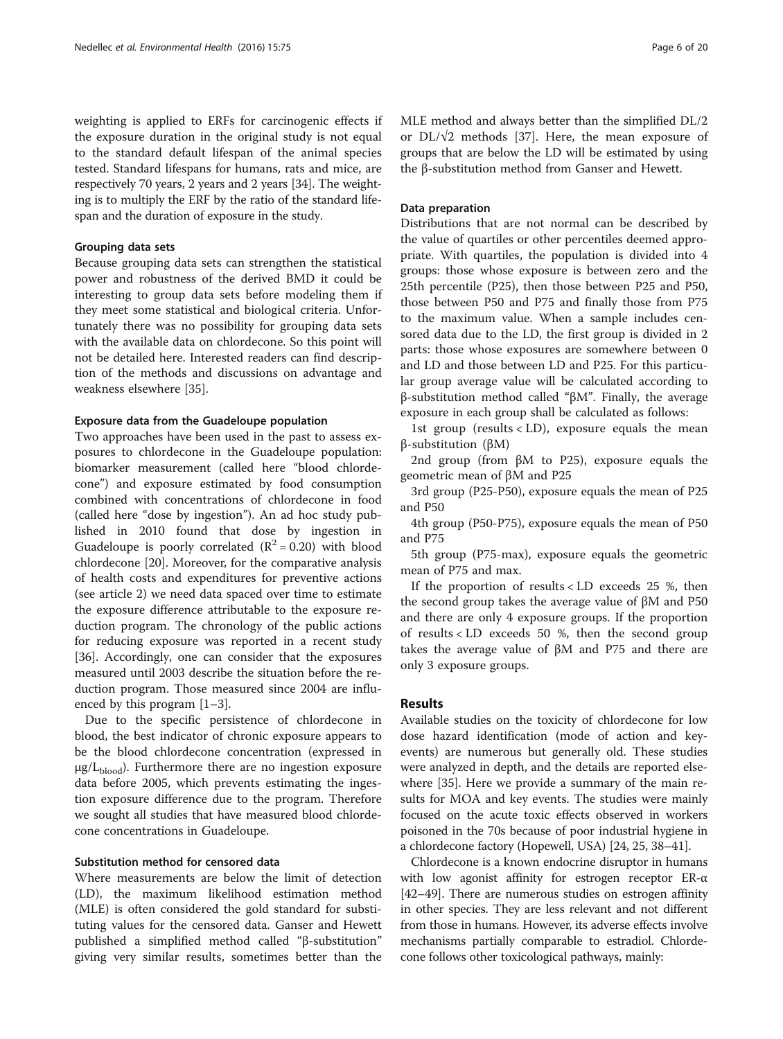weighting is applied to ERFs for carcinogenic effects if the exposure duration in the original study is not equal to the standard default lifespan of the animal species tested. Standard lifespans for humans, rats and mice, are respectively 70 years, 2 years and 2 years [[34](#page-17-0)]. The weighting is to multiply the ERF by the ratio of the standard lifespan and the duration of exposure in the study.

#### Grouping data sets

Because grouping data sets can strengthen the statistical power and robustness of the derived BMD it could be interesting to group data sets before modeling them if they meet some statistical and biological criteria. Unfortunately there was no possibility for grouping data sets with the available data on chlordecone. So this point will not be detailed here. Interested readers can find description of the methods and discussions on advantage and weakness elsewhere [\[35](#page-17-0)].

#### Exposure data from the Guadeloupe population

Two approaches have been used in the past to assess exposures to chlordecone in the Guadeloupe population: biomarker measurement (called here "blood chlordecone") and exposure estimated by food consumption combined with concentrations of chlordecone in food (called here "dose by ingestion"). An ad hoc study published in 2010 found that dose by ingestion in Guadeloupe is poorly correlated  $(R^2 = 0.20)$  with blood chlordecone [[20\]](#page-17-0). Moreover, for the comparative analysis of health costs and expenditures for preventive actions (see article 2) we need data spaced over time to estimate the exposure difference attributable to the exposure reduction program. The chronology of the public actions for reducing exposure was reported in a recent study [[36\]](#page-17-0). Accordingly, one can consider that the exposures measured until 2003 describe the situation before the reduction program. Those measured since 2004 are influenced by this program [[1](#page-16-0)–[3\]](#page-17-0).

Due to the specific persistence of chlordecone in blood, the best indicator of chronic exposure appears to be the blood chlordecone concentration (expressed in  $\mu$ g/L<sub>blood</sub>). Furthermore there are no ingestion exposure data before 2005, which prevents estimating the ingestion exposure difference due to the program. Therefore we sought all studies that have measured blood chlordecone concentrations in Guadeloupe.

### Substitution method for censored data

Where measurements are below the limit of detection (LD), the maximum likelihood estimation method (MLE) is often considered the gold standard for substituting values for the censored data. Ganser and Hewett published a simplified method called "β-substitution" giving very similar results, sometimes better than the

#### Data preparation

Distributions that are not normal can be described by the value of quartiles or other percentiles deemed appropriate. With quartiles, the population is divided into 4 groups: those whose exposure is between zero and the 25th percentile (P25), then those between P25 and P50, those between P50 and P75 and finally those from P75 to the maximum value. When a sample includes censored data due to the LD, the first group is divided in 2 parts: those whose exposures are somewhere between 0 and LD and those between LD and P25. For this particular group average value will be calculated according to β-substitution method called "βM". Finally, the average exposure in each group shall be calculated as follows:

1st group (results  $\langle$  LD), exposure equals the mean β-substitution (βM)

2nd group (from βM to P25), exposure equals the geometric mean of βM and P25

3rd group (P25-P50), exposure equals the mean of P25 and P50

4th group (P50-P75), exposure equals the mean of P50 and P75

5th group (P75-max), exposure equals the geometric mean of P75 and max.

If the proportion of results < LD exceeds 25 %, then the second group takes the average value of βM and P50 and there are only 4 exposure groups. If the proportion of results < LD exceeds 50 %, then the second group takes the average value of βM and P75 and there are only 3 exposure groups.

### Results

Available studies on the toxicity of chlordecone for low dose hazard identification (mode of action and keyevents) are numerous but generally old. These studies were analyzed in depth, and the details are reported elsewhere [[35\]](#page-17-0). Here we provide a summary of the main results for MOA and key events. The studies were mainly focused on the acute toxic effects observed in workers poisoned in the 70s because of poor industrial hygiene in a chlordecone factory (Hopewell, USA) [[24, 25, 38](#page-17-0)–[41\]](#page-17-0).

Chlordecone is a known endocrine disruptor in humans with low agonist affinity for estrogen receptor ER-α [[42](#page-17-0)–[49\]](#page-17-0). There are numerous studies on estrogen affinity in other species. They are less relevant and not different from those in humans. However, its adverse effects involve mechanisms partially comparable to estradiol. Chlordecone follows other toxicological pathways, mainly: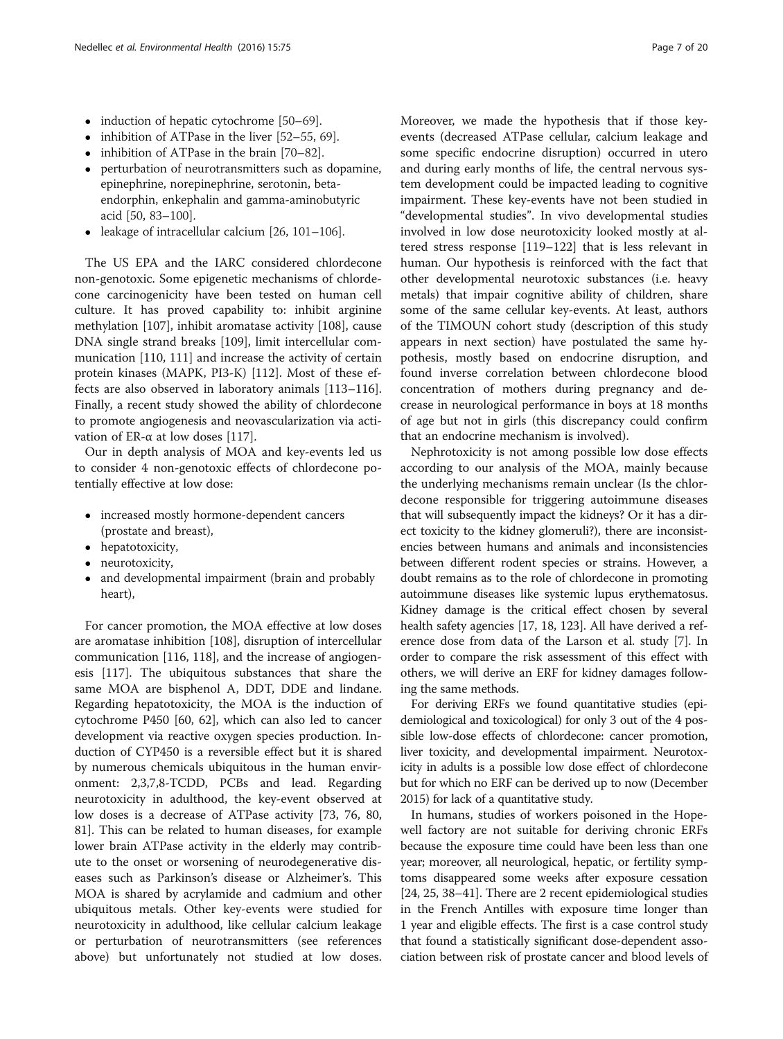- induction of hepatic cytochrome [[50](#page-17-0)–[69\]](#page-18-0).
- inhibition of ATPase in the liver [\[52](#page-17-0)–[55](#page-18-0), [69](#page-18-0)].
- inhibition of ATPase in the brain [\[70](#page-18-0)–[82\]](#page-18-0).
- perturbation of neurotransmitters such as dopamine, epinephrine, norepinephrine, serotonin, betaendorphin, enkephalin and gamma-aminobutyric acid [\[50,](#page-17-0) [83](#page-18-0)–[100\]](#page-18-0).
- leakage of intracellular calcium  $[26, 101-106]$  $[26, 101-106]$  $[26, 101-106]$  $[26, 101-106]$  $[26, 101-106]$  $[26, 101-106]$  $[26, 101-106]$ .

The US EPA and the IARC considered chlordecone non-genotoxic. Some epigenetic mechanisms of chlordecone carcinogenicity have been tested on human cell culture. It has proved capability to: inhibit arginine methylation [[107](#page-19-0)], inhibit aromatase activity [\[108\]](#page-19-0), cause DNA single strand breaks [[109](#page-19-0)], limit intercellular communication [\[110, 111\]](#page-19-0) and increase the activity of certain protein kinases (MAPK, PI3-K) [[112](#page-19-0)]. Most of these effects are also observed in laboratory animals [[113](#page-19-0)–[116](#page-19-0)]. Finally, a recent study showed the ability of chlordecone to promote angiogenesis and neovascularization via acti-vation of ER-α at low doses [\[117](#page-19-0)].

Our in depth analysis of MOA and key-events led us to consider 4 non-genotoxic effects of chlordecone potentially effective at low dose:

- increased mostly hormone-dependent cancers (prostate and breast),
- hepatotoxicity,
- neurotoxicity,
- and developmental impairment (brain and probably heart),

For cancer promotion, the MOA effective at low doses are aromatase inhibition [[108](#page-19-0)], disruption of intercellular communication [[116, 118](#page-19-0)], and the increase of angiogenesis [\[117](#page-19-0)]. The ubiquitous substances that share the same MOA are bisphenol A, DDT, DDE and lindane. Regarding hepatotoxicity, the MOA is the induction of cytochrome P450 [[60, 62](#page-18-0)], which can also led to cancer development via reactive oxygen species production. Induction of CYP450 is a reversible effect but it is shared by numerous chemicals ubiquitous in the human environment: 2,3,7,8-TCDD, PCBs and lead. Regarding neurotoxicity in adulthood, the key-event observed at low doses is a decrease of ATPase activity [[73, 76, 80](#page-18-0), [81\]](#page-18-0). This can be related to human diseases, for example lower brain ATPase activity in the elderly may contribute to the onset or worsening of neurodegenerative diseases such as Parkinson's disease or Alzheimer's. This MOA is shared by acrylamide and cadmium and other ubiquitous metals. Other key-events were studied for neurotoxicity in adulthood, like cellular calcium leakage or perturbation of neurotransmitters (see references above) but unfortunately not studied at low doses. Moreover, we made the hypothesis that if those keyevents (decreased ATPase cellular, calcium leakage and some specific endocrine disruption) occurred in utero and during early months of life, the central nervous system development could be impacted leading to cognitive impairment. These key-events have not been studied in "developmental studies". In vivo developmental studies involved in low dose neurotoxicity looked mostly at altered stress response [\[119](#page-19-0)–[122\]](#page-19-0) that is less relevant in human. Our hypothesis is reinforced with the fact that other developmental neurotoxic substances (i.e. heavy metals) that impair cognitive ability of children, share some of the same cellular key-events. At least, authors of the TIMOUN cohort study (description of this study appears in next section) have postulated the same hypothesis, mostly based on endocrine disruption, and found inverse correlation between chlordecone blood concentration of mothers during pregnancy and decrease in neurological performance in boys at 18 months of age but not in girls (this discrepancy could confirm that an endocrine mechanism is involved).

Nephrotoxicity is not among possible low dose effects according to our analysis of the MOA, mainly because the underlying mechanisms remain unclear (Is the chlordecone responsible for triggering autoimmune diseases that will subsequently impact the kidneys? Or it has a direct toxicity to the kidney glomeruli?), there are inconsistencies between humans and animals and inconsistencies between different rodent species or strains. However, a doubt remains as to the role of chlordecone in promoting autoimmune diseases like systemic lupus erythematosus. Kidney damage is the critical effect chosen by several health safety agencies [\[17, 18](#page-17-0), [123\]](#page-19-0). All have derived a reference dose from data of the Larson et al. study [[7\]](#page-17-0). In order to compare the risk assessment of this effect with others, we will derive an ERF for kidney damages following the same methods.

For deriving ERFs we found quantitative studies (epidemiological and toxicological) for only 3 out of the 4 possible low-dose effects of chlordecone: cancer promotion, liver toxicity, and developmental impairment. Neurotoxicity in adults is a possible low dose effect of chlordecone but for which no ERF can be derived up to now (December 2015) for lack of a quantitative study.

In humans, studies of workers poisoned in the Hopewell factory are not suitable for deriving chronic ERFs because the exposure time could have been less than one year; moreover, all neurological, hepatic, or fertility symptoms disappeared some weeks after exposure cessation [[24](#page-17-0), [25, 38](#page-17-0)–[41\]](#page-17-0). There are 2 recent epidemiological studies in the French Antilles with exposure time longer than 1 year and eligible effects. The first is a case control study that found a statistically significant dose-dependent association between risk of prostate cancer and blood levels of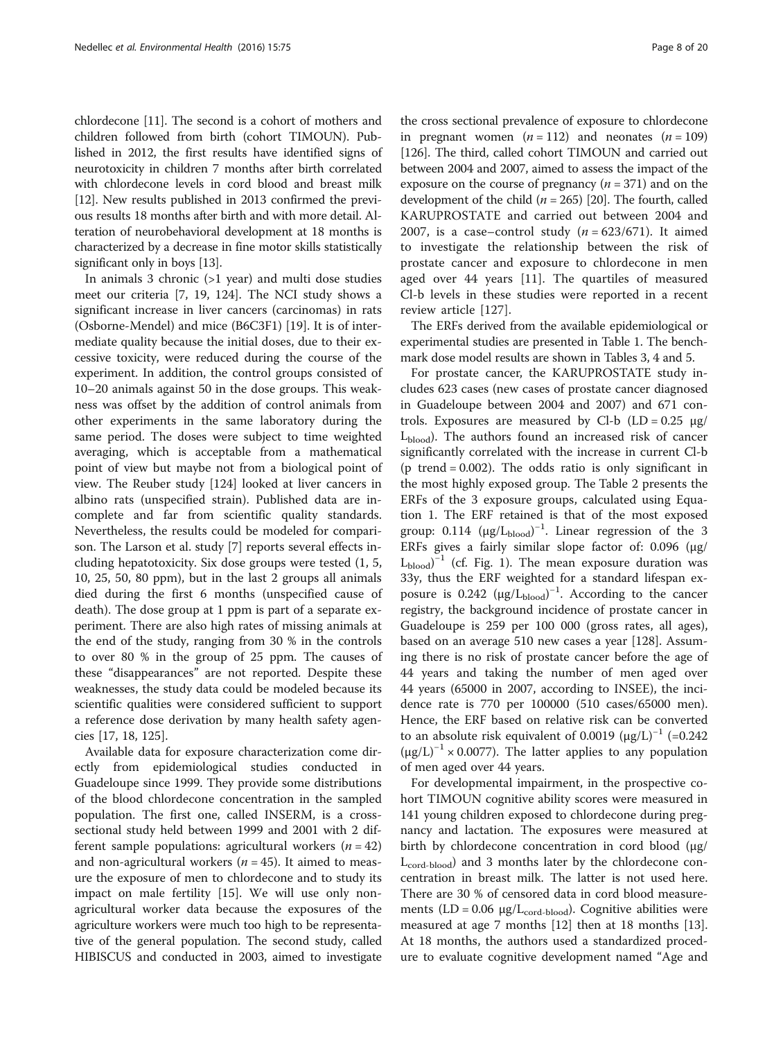chlordecone [\[11\]](#page-17-0). The second is a cohort of mothers and children followed from birth (cohort TIMOUN). Published in 2012, the first results have identified signs of neurotoxicity in children 7 months after birth correlated with chlordecone levels in cord blood and breast milk [[12](#page-17-0)]. New results published in 2013 confirmed the previous results 18 months after birth and with more detail. Alteration of neurobehavioral development at 18 months is characterized by a decrease in fine motor skills statistically significant only in boys [\[13\]](#page-17-0).

In animals 3 chronic (>1 year) and multi dose studies meet our criteria [\[7, 19](#page-17-0), [124\]](#page-19-0). The NCI study shows a significant increase in liver cancers (carcinomas) in rats (Osborne-Mendel) and mice (B6C3F1) [[19](#page-17-0)]. It is of intermediate quality because the initial doses, due to their excessive toxicity, were reduced during the course of the experiment. In addition, the control groups consisted of 10–20 animals against 50 in the dose groups. This weakness was offset by the addition of control animals from other experiments in the same laboratory during the same period. The doses were subject to time weighted averaging, which is acceptable from a mathematical point of view but maybe not from a biological point of view. The Reuber study [[124](#page-19-0)] looked at liver cancers in albino rats (unspecified strain). Published data are incomplete and far from scientific quality standards. Nevertheless, the results could be modeled for comparison. The Larson et al. study [\[7](#page-17-0)] reports several effects including hepatotoxicity. Six dose groups were tested (1, 5, 10, 25, 50, 80 ppm), but in the last 2 groups all animals died during the first 6 months (unspecified cause of death). The dose group at 1 ppm is part of a separate experiment. There are also high rates of missing animals at the end of the study, ranging from 30 % in the controls to over 80 % in the group of 25 ppm. The causes of these "disappearances" are not reported. Despite these weaknesses, the study data could be modeled because its scientific qualities were considered sufficient to support a reference dose derivation by many health safety agencies [[17, 18,](#page-17-0) [125](#page-19-0)].

Available data for exposure characterization come directly from epidemiological studies conducted in Guadeloupe since 1999. They provide some distributions of the blood chlordecone concentration in the sampled population. The first one, called INSERM, is a crosssectional study held between 1999 and 2001 with 2 different sample populations: agricultural workers  $(n = 42)$ and non-agricultural workers ( $n = 45$ ). It aimed to measure the exposure of men to chlordecone and to study its impact on male fertility [[15\]](#page-17-0). We will use only nonagricultural worker data because the exposures of the agriculture workers were much too high to be representative of the general population. The second study, called HIBISCUS and conducted in 2003, aimed to investigate

the cross sectional prevalence of exposure to chlordecone in pregnant women  $(n = 112)$  and neonates  $(n = 109)$ [[126](#page-19-0)]. The third, called cohort TIMOUN and carried out between 2004 and 2007, aimed to assess the impact of the exposure on the course of pregnancy  $(n = 371)$  and on the development of the child ( $n = 265$ ) [\[20\]](#page-17-0). The fourth, called KARUPROSTATE and carried out between 2004 and 2007, is a case–control study  $(n = 623/671)$ . It aimed to investigate the relationship between the risk of prostate cancer and exposure to chlordecone in men aged over 44 years [\[11](#page-17-0)]. The quartiles of measured Cl-b levels in these studies were reported in a recent review article [[127\]](#page-19-0).

The ERFs derived from the available epidemiological or experimental studies are presented in Table [1](#page-8-0). The benchmark dose model results are shown in Tables [3](#page-10-0), [4](#page-11-0) and [5.](#page-12-0)

For prostate cancer, the KARUPROSTATE study includes 623 cases (new cases of prostate cancer diagnosed in Guadeloupe between 2004 and 2007) and 671 controls. Exposures are measured by Cl-b  $(LD = 0.25 \mu g)$ Lblood). The authors found an increased risk of cancer significantly correlated with the increase in current Cl-b (p trend  $= 0.002$ ). The odds ratio is only significant in the most highly exposed group. The Table [2](#page-9-0) presents the ERFs of the 3 exposure groups, calculated using Equation [1.](#page-3-0) The ERF retained is that of the most exposed group:  $0.114$  ( $\mu$ g/L<sub>blood</sub>)<sup>-1</sup>. Linear regression of the 3 ERFs gives a fairly similar slope factor of: 0.096 (μg/  $L_{\text{blood}}$ <sup>-1</sup> (cf. Fig. [1\)](#page-9-0). The mean exposure duration was 33y, thus the ERF weighted for a standard lifespan exposure is 0.242  $(\mu g/L_{blood})^{-1}$ . According to the cancer registry, the background incidence of prostate cancer in Guadeloupe is 259 per 100 000 (gross rates, all ages), based on an average 510 new cases a year [[128](#page-19-0)]. Assuming there is no risk of prostate cancer before the age of 44 years and taking the number of men aged over 44 years (65000 in 2007, according to INSEE), the incidence rate is 770 per 100000 (510 cases/65000 men). Hence, the ERF based on relative risk can be converted to an absolute risk equivalent of 0.0019  $(\mu g/L)^{-1}$  (=0.242  $(\mu g/L)^{-1} \times 0.0077$ ). The latter applies to any population of men aged over 44 years.

For developmental impairment, in the prospective cohort TIMOUN cognitive ability scores were measured in 141 young children exposed to chlordecone during pregnancy and lactation. The exposures were measured at birth by chlordecone concentration in cord blood (μg/  $L_{\text{cord-blood}}$ ) and 3 months later by the chlordecone concentration in breast milk. The latter is not used here. There are 30 % of censored data in cord blood measurements  $(LD = 0.06 \mu g/L_{\text{cord-blood}})$ . Cognitive abilities were measured at age 7 months [\[12](#page-17-0)] then at 18 months [\[13](#page-17-0)]. At 18 months, the authors used a standardized procedure to evaluate cognitive development named "Age and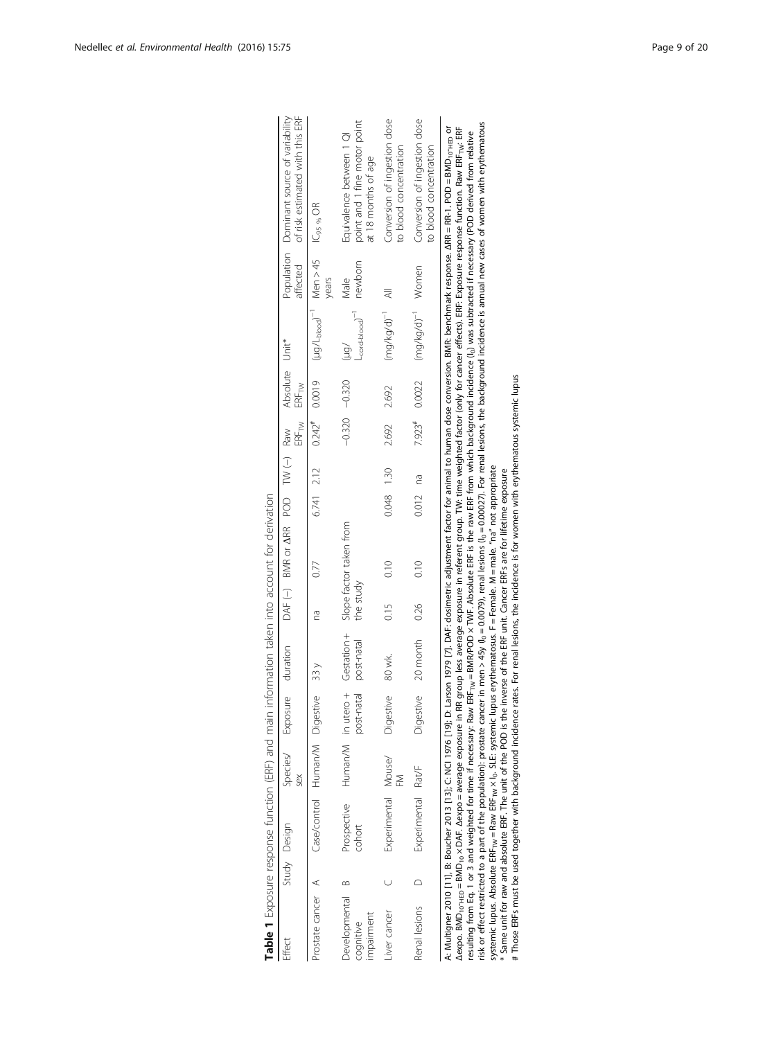<span id="page-8-0"></span>

| Table 1 Exposure response function (ERF) and main information taken into account for derivation     |                                          |     |                            |                           |           |                                                          |            |                   |                              |                                                                           |                 |                                                                                                                                                                                                                                                                                                                                                                                                                                                                                                                                                                                                                                                                 |
|-----------------------------------------------------------------------------------------------------|------------------------------------------|-----|----------------------------|---------------------------|-----------|----------------------------------------------------------|------------|-------------------|------------------------------|---------------------------------------------------------------------------|-----------------|-----------------------------------------------------------------------------------------------------------------------------------------------------------------------------------------------------------------------------------------------------------------------------------------------------------------------------------------------------------------------------------------------------------------------------------------------------------------------------------------------------------------------------------------------------------------------------------------------------------------------------------------------------------------|
| Effect                                                                                              | Study Design                             | sex | Species/ Exposure duration |                           |           | DAF (-) BMR or <b>A</b> RR POD TW (-) Raw Absolute Unit* |            | $ERF_{\text{TW}}$ | $\mathsf{ERF}_{\mathsf{TW}}$ |                                                                           | affected        | of risk estimated with this ERF<br>Population Dominant source of variability                                                                                                                                                                                                                                                                                                                                                                                                                                                                                                                                                                                    |
| Prostate cancer A                                                                                   | Case/control Human/M Digestive 33 y      |     |                            |                           | 2g        |                                                          | 6.741 2.12 |                   |                              | $0.242^*$ $0.0019$ $(1.90/1_{\text{block}})^{-1}$ Men > 45 $10_{95\%}$ OR | years           |                                                                                                                                                                                                                                                                                                                                                                                                                                                                                                                                                                                                                                                                 |
| Developmental<br>impairment<br>coqnitive                                                            | Prospective Human/M in utero +<br>cohort |     | post-natal                 | Gestation +<br>post-natal | the study | Slope factor taken from                                  |            | $-0.320 -0.320$   |                              | $L_{\text{cord-block}}$<br>/ān)                                           | newborn<br>Male | point and 1 fine motor point<br>Equivalence between 1 QI<br>at 18 months of age                                                                                                                                                                                                                                                                                                                                                                                                                                                                                                                                                                                 |
| Iver cancer                                                                                         | Experimental Mouse/                      | M   | Diaestive                  | 80 wk.                    | 0.15      | 0.10                                                     | 0.048 1.30 | 2.692             | 2.692                        | $(mg/kg/d)^{-1}$                                                          | ₹               | Conversion of ingestion dose<br>to blood concentration                                                                                                                                                                                                                                                                                                                                                                                                                                                                                                                                                                                                          |
| Renal lesions                                                                                       | Experimental Rat/F                       |     |                            | Digestive 20 month        | 0.26      | 0.10                                                     | $0.012$ na |                   |                              | 7.923# $0.0022$ (mg/kg/d) <sup>-1</sup> Women                             |                 | Conversion of ingestion dose<br>to blood concentration                                                                                                                                                                                                                                                                                                                                                                                                                                                                                                                                                                                                          |
| Δexpo. BMD <sub>10</sub> - <sub>HED</sub> = BMD <sub>10</sub> x DAF. Δexpo = average exposure in RR |                                          |     |                            |                           |           |                                                          |            |                   |                              |                                                                           |                 | A: Multigner 2010 [11], B: Boucher 2013 [13]; C: NC  1976 [10]; D: D. Ristory 1979 [7]. DAF: dosimetric adjustment factor for animal to human dose conversion. BMR: benchmark response. ARR = RR-1. POD = BMD <sub>10</sub> - <sub>HED</sub> or<br>group less average exposure in referent group. TW: time weighted factor (only for cancer effects). ERF: Exposure response function. Raw ERF- <sub>tw:</sub> ERF<br>resulting from Eq. 1 or 3 and weighted for time if necessary. Raw ERF <sub>rw</sub> = BMR/POD x TWF. Absolute ERF is the raw ERF from which background incidence (i <sub>n</sub> ) was subtracted if necessary (POD derived from relative |

| $\overline{\phantom{a}}$<br>$\ddot{\phantom{a}}$                  |
|-------------------------------------------------------------------|
| J<br>i                                                            |
|                                                                   |
| ころ メクサ サクランク クライ・クラン スタンフサ クライク ろうりょう クラン アクラ アクラーニュー クラン<br>フリリノ |
|                                                                   |
| $\frac{1}{2}$                                                     |
|                                                                   |
|                                                                   |
|                                                                   |
| $\frac{1}{2}$                                                     |
| į<br>$\frac{1}{1}$                                                |
| $\begin{bmatrix} 1 \\ 1 \\ 1 \\ 1 \end{bmatrix}$                  |
| ֚֚֚֬                                                              |
| こうこうしょう しょうしょう こうしょう こうしょう<br>うりい<br>l<br>ţ                       |
| 1 Alar<br>-<br>}<br>}<br>I                                        |

resumig from Eq. 1 or 3 and weighted for time if necessary: Raw Erk-<sub>mv</sub> = BMM/PUD X I Wr. Absolute Erk is the raw Erk from winch background incidence lip was subtracted if necessary (PUD deriver in the population): prosta risk or effect restricted to a part of the population): prostate cancer in men > 45y (I<sub>0</sub> = 0.0079), renal lesions (I<sub>0</sub> = 0.00027). For renal lesions, the background incidence is annual new cases of women with erythemat resulting from Eq. [1](#page-3-0) or [3](#page-4-0) and weighted for time if necessary: Raw ERF<sub>TW</sub> = BMR/POD × TWF. Absolute ERF is the raw ERF from which background incidence (I<sub>0</sub>) was subtracted if necessary (POD derived from relative systemic lupus. Absolute ERF $_{\sf TW}$  = Raw ERF $_{\sf TW}$  × I $_{\sf G}$ , SLE: systemic lupus erythematosus. F = Female. M = male. "na" not appropriate

\* Same unit for raw and absolute ERF. The unit of the POD is the inverse of the ERF unit. Cancer ERFs are for lifetime exposure

# Those ERFs must be used together with background incidence rates. For renal lesions, the incidence is for women with erythematous systemic lupus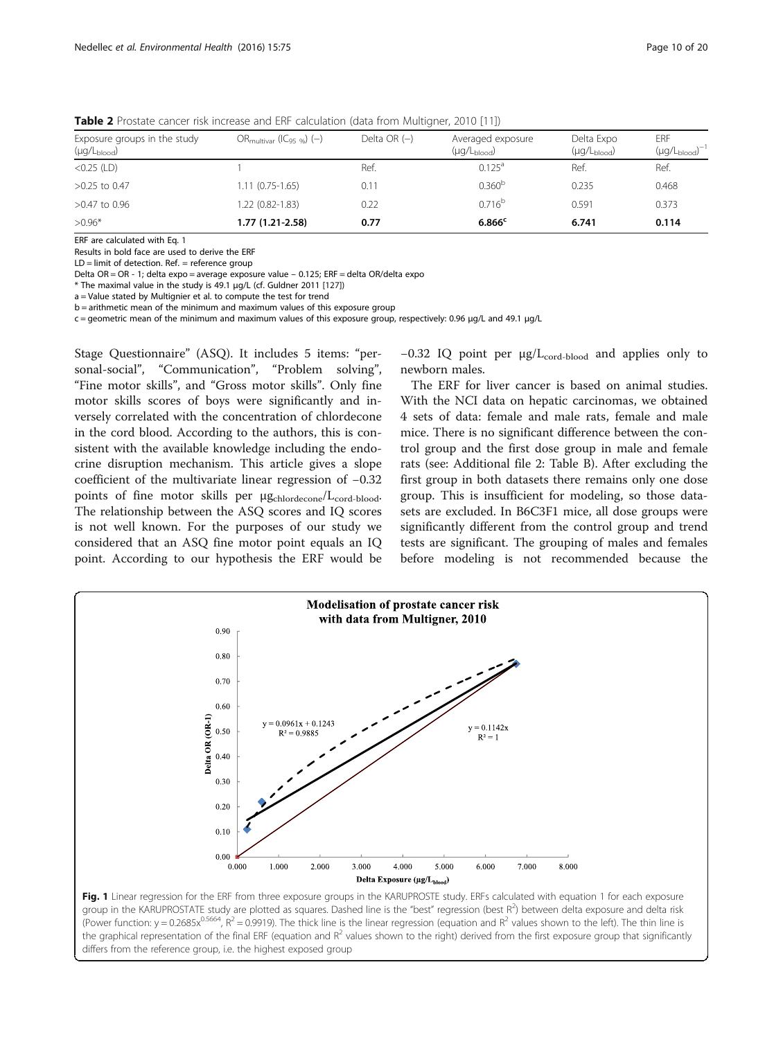| Exposure groups in the study<br>(µg/L <sub>blood</sub> ) | $OR_{\text{multivar}}$ ( $C_{95\%}$ ) (-) | Delta OR $(-)$ | Averaged exposure<br>$(\mu q/L_{\rm blood})$ | Delta Expo<br>$(\mu q/L_{\rm blood})$ | <b>ERF</b><br>$(\mu g/L_{\rm blood})^{-1}$ |
|----------------------------------------------------------|-------------------------------------------|----------------|----------------------------------------------|---------------------------------------|--------------------------------------------|
| $<$ 0.25 (LD)                                            |                                           | Ref.           | $0.125^a$                                    | Ref.                                  | Ref.                                       |
| $>0.25$ to 0.47                                          | $1.11(0.75-1.65)$                         | 0.11           | 0.360 <sup>b</sup>                           | 0.235                                 | 0.468                                      |
| >0.47 to 0.96                                            | 1.22 (0.82-1.83)                          | 0.22           | $0.716^{b}$                                  | 0.591                                 | 0.373                                      |
| $>0.96*$                                                 | 1.77 (1.21-2.58)                          | 0.77           | $6.866^{\circ}$                              | 6.741                                 | 0.114                                      |

<span id="page-9-0"></span>**Table 2** Prostate cancer risk increase and ERF calculation (data from Multigner, 2010 [[11](#page-17-0)])

ERF are calculated with Eq. [1](#page-3-0)

Results in bold face are used to derive the ERF

 $LD =$  limit of detection. Ref.  $=$  reference group

Delta OR = OR - 1; delta expo = average exposure value – 0.125; ERF = delta OR/delta expo

\* The maximal value in the study is 49.1 μg/L (cf. Guldner 2011 [[127](#page-19-0)])

a = Value stated by Multignier et al. to compute the test for trend

b = arithmetic mean of the minimum and maximum values of this exposure group

c = geometric mean of the minimum and maximum values of this exposure group, respectively: 0.96 μg/L and 49.1 μg/L

Stage Questionnaire" (ASQ). It includes 5 items: "personal-social", "Communication", "Problem solving", "Fine motor skills", and "Gross motor skills". Only fine motor skills scores of boys were significantly and inversely correlated with the concentration of chlordecone in the cord blood. According to the authors, this is consistent with the available knowledge including the endocrine disruption mechanism. This article gives a slope coefficient of the multivariate linear regression of −0.32 points of fine motor skills per  $\mu g_{chlordecone}/L_{cord-blood}.$ The relationship between the ASQ scores and IQ scores is not well known. For the purposes of our study we considered that an ASQ fine motor point equals an IQ point. According to our hypothesis the ERF would be −0.32 IQ point per μg/L<sub>cord-blood</sub> and applies only to newborn males.

The ERF for liver cancer is based on animal studies. With the NCI data on hepatic carcinomas, we obtained 4 sets of data: female and male rats, female and male mice. There is no significant difference between the control group and the first dose group in male and female rats (see: Additional file [2](#page-16-0): Table B). After excluding the first group in both datasets there remains only one dose group. This is insufficient for modeling, so those datasets are excluded. In B6C3F1 mice, all dose groups were significantly different from the control group and trend tests are significant. The grouping of males and females before modeling is not recommended because the



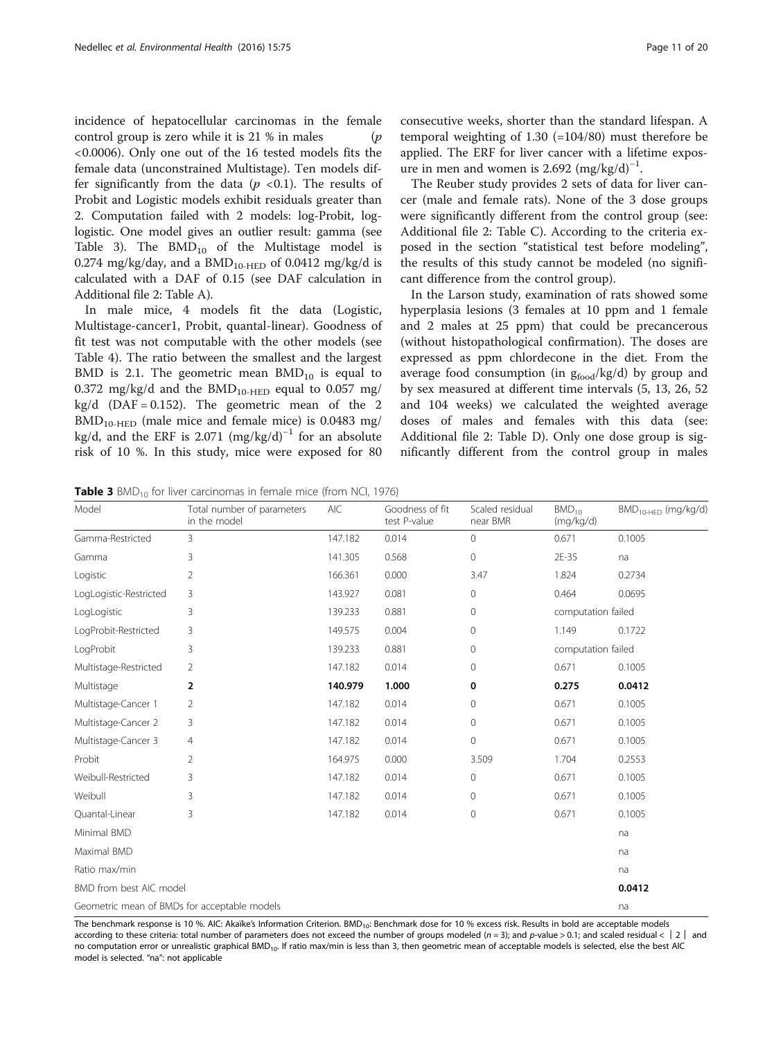<span id="page-10-0"></span>incidence of hepatocellular carcinomas in the female control group is zero while it is 21 % in males  $(p)$ <0.0006). Only one out of the 16 tested models fits the female data (unconstrained Multistage). Ten models differ significantly from the data ( $p < 0.1$ ). The results of Probit and Logistic models exhibit residuals greater than 2. Computation failed with 2 models: log-Probit, loglogistic. One model gives an outlier result: gamma (see Table 3). The  $BMD_{10}$  of the Multistage model is 0.274 mg/kg/day, and a  $BMD_{10-HED}$  of 0.0412 mg/kg/d is calculated with a DAF of 0.15 (see DAF calculation in Additional file [2](#page-16-0): Table A).

In male mice, 4 models fit the data (Logistic, Multistage-cancer1, Probit, quantal-linear). Goodness of fit test was not computable with the other models (see Table [4](#page-11-0)). The ratio between the smallest and the largest BMD is 2.1. The geometric mean  $BMD_{10}$  is equal to 0.372 mg/kg/d and the  $BMD_{10-HED}$  equal to 0.057 mg/ kg/d (DAF = 0.152). The geometric mean of the 2  $BMD_{10-HED}$  (male mice and female mice) is 0.0483 mg/ kg/d, and the ERF is 2.071  $(mg/kg/d)^{-1}$  for an absolute risk of 10 %. In this study, mice were exposed for 80 consecutive weeks, shorter than the standard lifespan. A temporal weighting of 1.30 (=104/80) must therefore be applied. The ERF for liver cancer with a lifetime exposure in men and women is 2.692 (mg/kg/d)<sup>-1</sup>.

The Reuber study provides 2 sets of data for liver cancer (male and female rats). None of the 3 dose groups were significantly different from the control group (see: Additional file [2](#page-16-0): Table C). According to the criteria exposed in the section "statistical test before modeling", the results of this study cannot be modeled (no significant difference from the control group).

In the Larson study, examination of rats showed some hyperplasia lesions (3 females at 10 ppm and 1 female and 2 males at 25 ppm) that could be precancerous (without histopathological confirmation). The doses are expressed as ppm chlordecone in the diet. From the average food consumption (in  $g_{food}/kg/d$ ) by group and by sex measured at different time intervals (5, 13, 26, 52 and 104 weeks) we calculated the weighted average doses of males and females with this data (see: Additional file [2:](#page-16-0) Table D). Only one dose group is significantly different from the control group in males

**Table 3** BMD<sub>10</sub> for liver carcinomas in female mice (from NCI, 1976)

| Model                   | Total number of parameters<br>in the model   | AIC     | Goodness of fit<br>test P-value | Scaled residual<br>near BMR | $BMD_{10}$<br>(mq/kg/d) | $BMD_{10-HED}$ (mg/kg/d) |
|-------------------------|----------------------------------------------|---------|---------------------------------|-----------------------------|-------------------------|--------------------------|
| Gamma-Restricted        | $\overline{3}$                               | 147.182 | 0.014                           | $\circ$                     | 0.671                   | 0.1005                   |
| Gamma                   | 3                                            | 141.305 | 0.568                           | 0                           | 2E-35                   | na                       |
| Logistic                | $\overline{2}$                               | 166.361 | 0.000                           | 3.47                        | 1.824                   | 0.2734                   |
| LogLogistic-Restricted  | 3                                            | 143.927 | 0.081                           | 0                           | 0.464                   | 0.0695                   |
| LogLogistic             | 3                                            | 139.233 | 0.881                           | 0                           | computation failed      |                          |
| LogProbit-Restricted    | 3                                            | 149.575 | 0.004                           | 0                           | 1.149                   | 0.1722                   |
| LogProbit               | 3                                            | 139.233 | 0.881                           | $\Omega$                    | computation failed      |                          |
| Multistage-Restricted   | $\overline{2}$                               | 147.182 | 0.014                           | 0                           | 0.671                   | 0.1005                   |
| Multistage              | 2                                            | 140.979 | 1.000                           | 0                           | 0.275                   | 0.0412                   |
| Multistage-Cancer 1     | 2                                            | 147.182 | 0.014                           | 0                           | 0.671                   | 0.1005                   |
| Multistage-Cancer 2     | 3                                            | 147.182 | 0.014                           | 0                           | 0.671                   | 0.1005                   |
| Multistage-Cancer 3     | $\overline{4}$                               | 147.182 | 0.014                           | 0                           | 0.671                   | 0.1005                   |
| Probit                  | $\overline{2}$                               | 164.975 | 0.000                           | 3.509                       | 1.704                   | 0.2553                   |
| Weibull-Restricted      | 3                                            | 147.182 | 0.014                           | 0                           | 0.671                   | 0.1005                   |
| Weibull                 | 3                                            | 147.182 | 0.014                           | 0                           | 0.671                   | 0.1005                   |
| Quantal-Linear          | 3                                            | 147.182 | 0.014                           | $\Omega$                    | 0.671                   | 0.1005                   |
| Minimal BMD             |                                              |         |                                 |                             |                         | na                       |
| Maximal BMD             |                                              |         |                                 |                             |                         | na                       |
| Ratio max/min           |                                              |         |                                 |                             |                         | na                       |
| BMD from best AIC model |                                              |         |                                 |                             |                         | 0.0412                   |
|                         | Geometric mean of BMDs for acceptable models |         |                                 |                             |                         | na                       |

The benchmark response is 10 %. AIC: Akaïke's Information Criterion. BMD<sub>10</sub>: Benchmark dose for 10 % excess risk. Results in bold are acceptable models according to these criteria: total number of parameters does not exceed the number of groups modeled (n = 3); and p-value > 0.1; and scaled residual <  $|2|$  and no computation error or unrealistic graphical BMD<sub>10</sub>. If ratio max/min is less than 3, then geometric mean of acceptable models is selected, else the best AIC model is selected. "na": not applicable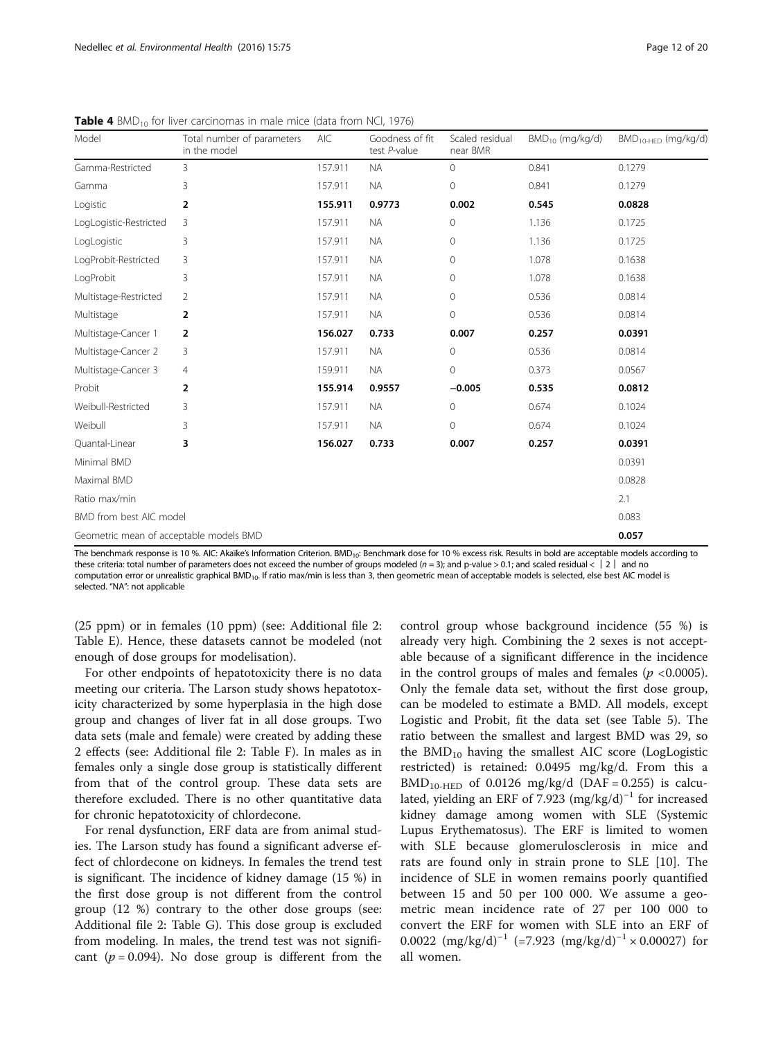| Model                                   | Total number of parameters<br>in the model | <b>AIC</b> | Goodness of fit<br>test P-value | Scaled residual<br>near BMR | $BMD_{10}$ (mg/kg/d) | $BMD_{10-HFD}$ (mg/kg/d) |
|-----------------------------------------|--------------------------------------------|------------|---------------------------------|-----------------------------|----------------------|--------------------------|
| Gamma-Restricted                        | 3                                          | 157.911    | <b>NA</b>                       | $\circ$                     | 0.841                | 0.1279                   |
| Gamma                                   | 3                                          | 157.911    | <b>NA</b>                       | $\mathbf{0}$                | 0.841                | 0.1279                   |
| Logistic                                | 2                                          | 155.911    | 0.9773                          | 0.002                       | 0.545                | 0.0828                   |
| LogLogistic-Restricted                  | 3                                          | 157.911    | <b>NA</b>                       | $\mathbf 0$                 | 1.136                | 0.1725                   |
| LogLogistic                             | 3                                          | 157.911    | <b>NA</b>                       | $\mathbf 0$                 | 1.136                | 0.1725                   |
| LogProbit-Restricted                    | 3                                          | 157.911    | <b>NA</b>                       | $\Omega$                    | 1.078                | 0.1638                   |
| LogProbit                               | 3                                          | 157.911    | <b>NA</b>                       | $\mathbf{0}$                | 1.078                | 0.1638                   |
| Multistage-Restricted                   | 2                                          | 157.911    | <b>NA</b>                       | $\mathbf 0$                 | 0.536                | 0.0814                   |
| Multistage                              | $\overline{2}$                             | 157.911    | <b>NA</b>                       | $\mathbf{0}$                | 0.536                | 0.0814                   |
| Multistage-Cancer 1                     | $\overline{2}$                             | 156.027    | 0.733                           | 0.007                       | 0.257                | 0.0391                   |
| Multistage-Cancer 2                     | 3                                          | 157.911    | <b>NA</b>                       | $\mathbf{0}$                | 0.536                | 0.0814                   |
| Multistage-Cancer 3                     | 4                                          | 159.911    | <b>NA</b>                       | $\overline{0}$              | 0.373                | 0.0567                   |
| Probit                                  | 2                                          | 155.914    | 0.9557                          | $-0.005$                    | 0.535                | 0.0812                   |
| Weibull-Restricted                      | 3                                          | 157.911    | <b>NA</b>                       | $\mathbf{0}$                | 0.674                | 0.1024                   |
| Weibull                                 | 3                                          | 157.911    | <b>NA</b>                       | $\overline{0}$              | 0.674                | 0.1024                   |
| Quantal-Linear                          | 3                                          | 156.027    | 0.733                           | 0.007                       | 0.257                | 0.0391                   |
| Minimal BMD                             |                                            |            |                                 |                             |                      | 0.0391                   |
| Maximal BMD                             |                                            |            |                                 |                             |                      | 0.0828                   |
| Ratio max/min                           |                                            |            |                                 |                             |                      | 2.1                      |
| BMD from best AIC model                 |                                            |            |                                 |                             |                      | 0.083                    |
| Geometric mean of acceptable models BMD |                                            |            |                                 |                             |                      | 0.057                    |

<span id="page-11-0"></span>**Table 4** BMD<sub>10</sub> for liver carcinomas in male mice (data from NCI, 1976)

The benchmark response is 10 %. AIC: Akaïke's Information Criterion. BMD<sub>10</sub>: Benchmark dose for 10 % excess risk. Results in bold are acceptable models according to these criteria: total number of parameters does not exceed the number of groups modeled (n = 3); and p-value > 0.1; and scaled residual < │ 2 │ and no computation error or unrealistic graphical BMD<sub>10</sub>. If ratio max/min is less than 3, then geometric mean of acceptable models is selected, else best AIC model is selected. "NA": not applicable

(25 ppm) or in females (10 ppm) (see: Additional file [2](#page-16-0): Table E). Hence, these datasets cannot be modeled (not enough of dose groups for modelisation).

For other endpoints of hepatotoxicity there is no data meeting our criteria. The Larson study shows hepatotoxicity characterized by some hyperplasia in the high dose group and changes of liver fat in all dose groups. Two data sets (male and female) were created by adding these 2 effects (see: Additional file [2:](#page-16-0) Table F). In males as in females only a single dose group is statistically different from that of the control group. These data sets are therefore excluded. There is no other quantitative data for chronic hepatotoxicity of chlordecone.

For renal dysfunction, ERF data are from animal studies. The Larson study has found a significant adverse effect of chlordecone on kidneys. In females the trend test is significant. The incidence of kidney damage (15 %) in the first dose group is not different from the control group (12 %) contrary to the other dose groups (see: Additional file [2:](#page-16-0) Table G). This dose group is excluded from modeling. In males, the trend test was not significant ( $p = 0.094$ ). No dose group is different from the

control group whose background incidence (55 %) is already very high. Combining the 2 sexes is not acceptable because of a significant difference in the incidence in the control groups of males and females ( $p < 0.0005$ ). Only the female data set, without the first dose group, can be modeled to estimate a BMD. All models, except Logistic and Probit, fit the data set (see Table [5\)](#page-12-0). The ratio between the smallest and largest BMD was 29, so the  $BMD_{10}$  having the smallest AIC score (LogLogistic restricted) is retained: 0.0495 mg/kg/d. From this a  $BMD<sub>10-HED</sub>$  of 0.0126 mg/kg/d (DAF = 0.255) is calculated, yielding an ERF of 7.923 (mg/kg/d)<sup>-1</sup> for increased kidney damage among women with SLE (Systemic Lupus Erythematosus). The ERF is limited to women with SLE because glomerulosclerosis in mice and rats are found only in strain prone to SLE [[10\]](#page-17-0). The incidence of SLE in women remains poorly quantified between 15 and 50 per 100 000. We assume a geometric mean incidence rate of 27 per 100 000 to convert the ERF for women with SLE into an ERF of 0.0022  $(mg/kg/d)^{-1}$  (=7.923  $(mg/kg/d)^{-1} \times 0.00027$ ) for all women.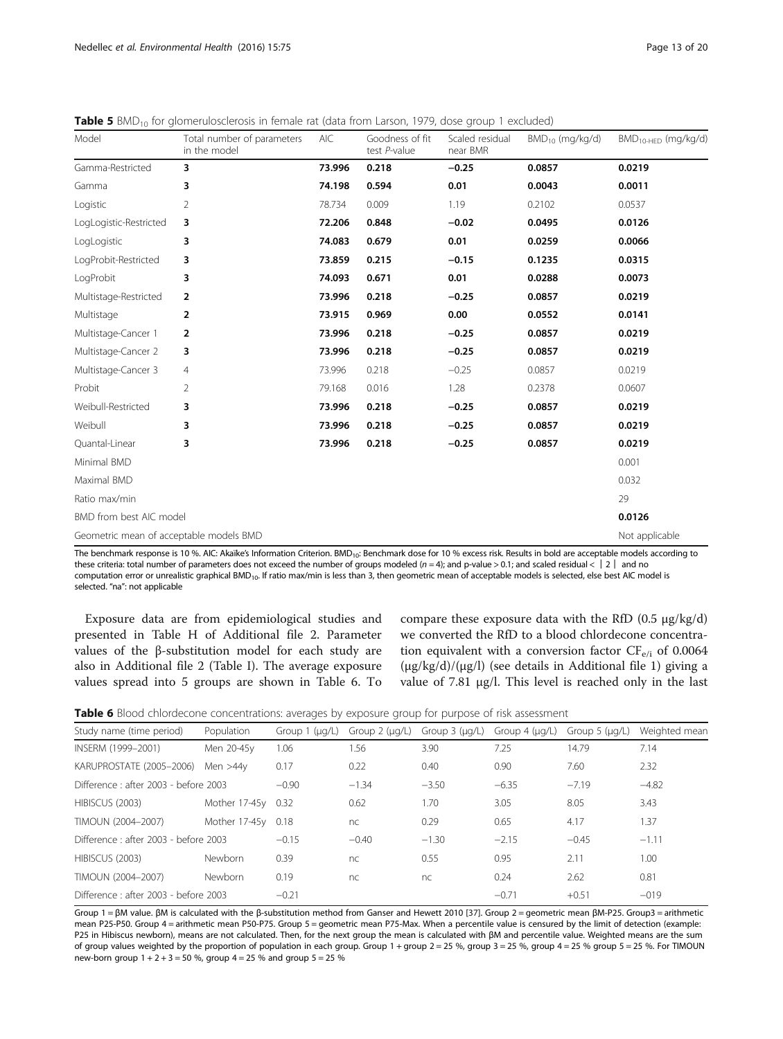| Model                                   | Total number of parameters<br>in the model | AIC    | Goodness of fit<br>test P-value | Scaled residual<br>near BMR | $BMD_{10}$ (mg/kg/d) | $BMD_{10-HFD}$ (mg/kg/d) |
|-----------------------------------------|--------------------------------------------|--------|---------------------------------|-----------------------------|----------------------|--------------------------|
| Gamma-Restricted                        | 3                                          | 73.996 | 0.218                           | $-0.25$                     | 0.0857               | 0.0219                   |
| Gamma                                   | 3                                          | 74.198 | 0.594                           | 0.01                        | 0.0043               | 0.0011                   |
| Logistic                                | 2                                          | 78.734 | 0.009                           | 1.19                        | 0.2102               | 0.0537                   |
| LogLogistic-Restricted                  | 3                                          | 72.206 | 0.848                           | $-0.02$                     | 0.0495               | 0.0126                   |
| LogLogistic                             | 3                                          | 74.083 | 0.679                           | 0.01                        | 0.0259               | 0.0066                   |
| LogProbit-Restricted                    | 3                                          | 73.859 | 0.215                           | $-0.15$                     | 0.1235               | 0.0315                   |
| LogProbit                               | 3                                          | 74.093 | 0.671                           | 0.01                        | 0.0288               | 0.0073                   |
| Multistage-Restricted                   | $\overline{2}$                             | 73.996 | 0.218                           | $-0.25$                     | 0.0857               | 0.0219                   |
| Multistage                              | $\overline{2}$                             | 73.915 | 0.969                           | 0.00                        | 0.0552               | 0.0141                   |
| Multistage-Cancer 1                     | 2                                          | 73.996 | 0.218                           | $-0.25$                     | 0.0857               | 0.0219                   |
| Multistage-Cancer 2                     | 3                                          | 73.996 | 0.218                           | $-0.25$                     | 0.0857               | 0.0219                   |
| Multistage-Cancer 3                     | 4                                          | 73.996 | 0.218                           | $-0.25$                     | 0.0857               | 0.0219                   |
| Probit                                  | $\overline{2}$                             | 79.168 | 0.016                           | 1.28                        | 0.2378               | 0.0607                   |
| Weibull-Restricted                      | 3                                          | 73.996 | 0.218                           | $-0.25$                     | 0.0857               | 0.0219                   |
| Weibull                                 | 3                                          | 73.996 | 0.218                           | $-0.25$                     | 0.0857               | 0.0219                   |
| Quantal-Linear                          | 3                                          | 73.996 | 0.218                           | $-0.25$                     | 0.0857               | 0.0219                   |
| Minimal BMD                             |                                            |        |                                 |                             |                      | 0.001                    |
| Maximal BMD                             |                                            |        |                                 |                             |                      | 0.032                    |
| Ratio max/min                           |                                            |        |                                 |                             |                      | 29                       |
| BMD from best AIC model                 |                                            |        |                                 |                             |                      | 0.0126                   |
| Geometric mean of acceptable models BMD |                                            |        |                                 |                             |                      | Not applicable           |

<span id="page-12-0"></span>Table 5 BMD<sub>10</sub> for glomerulosclerosis in female rat (data from Larson, 1979, dose group 1 excluded)

The benchmark response is 10 %. AIC: Akaïke's Information Criterion. BMD<sub>10</sub>: Benchmark dose for 10 % excess risk. Results in bold are acceptable models according to these criteria: total number of parameters does not exceed the number of groups modeled (n = 4); and p-value > 0.1; and scaled residual < | 2 | and no computation error or unrealistic graphical BMD<sub>10</sub>. If ratio max/min is less than 3, then geometric mean of acceptable models is selected, else best AIC model is selected. "na": not applicable

Exposure data are from epidemiological studies and presented in Table H of Additional file [2](#page-16-0). Parameter values of the β-substitution model for each study are also in Additional file [2](#page-16-0) (Table I). The average exposure values spread into 5 groups are shown in Table 6. To compare these exposure data with the RfD  $(0.5 \mu g/kg/d)$ we converted the RfD to a blood chlordecone concentration equivalent with a conversion factor  $CF_{e/i}$  of 0.0064 (μg/kg/d)/(μg/l) (see details in Additional file [1\)](#page-16-0) giving a value of 7.81 μg/l. This level is reached only in the last

| Table 6 Blood chlordecone concentrations: averages by exposure group for purpose of risk assessment |  |  |  |  |  |
|-----------------------------------------------------------------------------------------------------|--|--|--|--|--|
|                                                                                                     |  |  |  |  |  |

| Study name (time period)             | Population    | Group $1$ ( $\mu$ g/L) | Group $2$ ( $\mu$ g/L) | Group $3$ ( $\mu$ g/L) | Group $4 \text{ (µq/L)}$ | Group $5 \text{ (µq/L)}$ | Weighted mean |
|--------------------------------------|---------------|------------------------|------------------------|------------------------|--------------------------|--------------------------|---------------|
| INSERM (1999-2001)                   | Men 20-45y    | 1.06                   | .56                    | 3.90                   | 7.25                     | 14.79                    | 7.14          |
| KARUPROSTATE (2005-2006)             | Men $>44v$    | 0.17                   | 0.22                   | 0.40                   | 0.90                     | 7.60                     | 2.32          |
| Difference: after 2003 - before 2003 |               | $-0.90$                | $-1.34$                | $-3.50$                | $-6.35$                  | $-7.19$                  | $-4.82$       |
| HIBISCUS (2003)                      | Mother 17-45v | 0.32                   | 0.62                   | 1.70                   | 3.05                     | 8.05                     | 3.43          |
| TIMOUN (2004-2007)                   | Mother 17-45v | 0.18                   | nc                     | 0.29                   | 0.65                     | 4.17                     | 1.37          |
| Difference: after 2003 - before 2003 |               | $-0.15$                | $-0.40$                | $-1.30$                | $-2.15$                  | $-0.45$                  | $-1.11$       |
| HIBISCUS (2003)                      | Newborn       | 0.39                   | nc                     | 0.55                   | 0.95                     | 2.11                     | 1.00          |
| TIMOUN (2004-2007)                   | Newborn       | 0.19                   | nc                     | nc                     | 0.24                     | 2.62                     | 0.81          |
| Difference: after 2003 - before 2003 |               | $-0.21$                |                        |                        | $-0.71$                  | $+0.51$                  | $-019$        |

Group 1 = βM value. βM is calculated with the β-substitution method from Ganser and Hewett 2010 [[37\]](#page-17-0). Group 2 = geometric mean βM-P25. Group3 = arithmetic mean P25-P50. Group 4 = arithmetic mean P50-P75. Group 5 = geometric mean P75-Max. When a percentile value is censured by the limit of detection (example: P25 in Hibiscus newborn), means are not calculated. Then, for the next group the mean is calculated with βM and percentile value. Weighted means are the sum of group values weighted by the proportion of population in each group. Group 1 + group  $2 = 25$  %, group  $3 = 25$  %, group  $4 = 25$  % group  $5 = 25$  %. For TIMOUN new-born group 1 + 2 + 3 = 50 %, group 4 = 25 % and group 5 = 25 %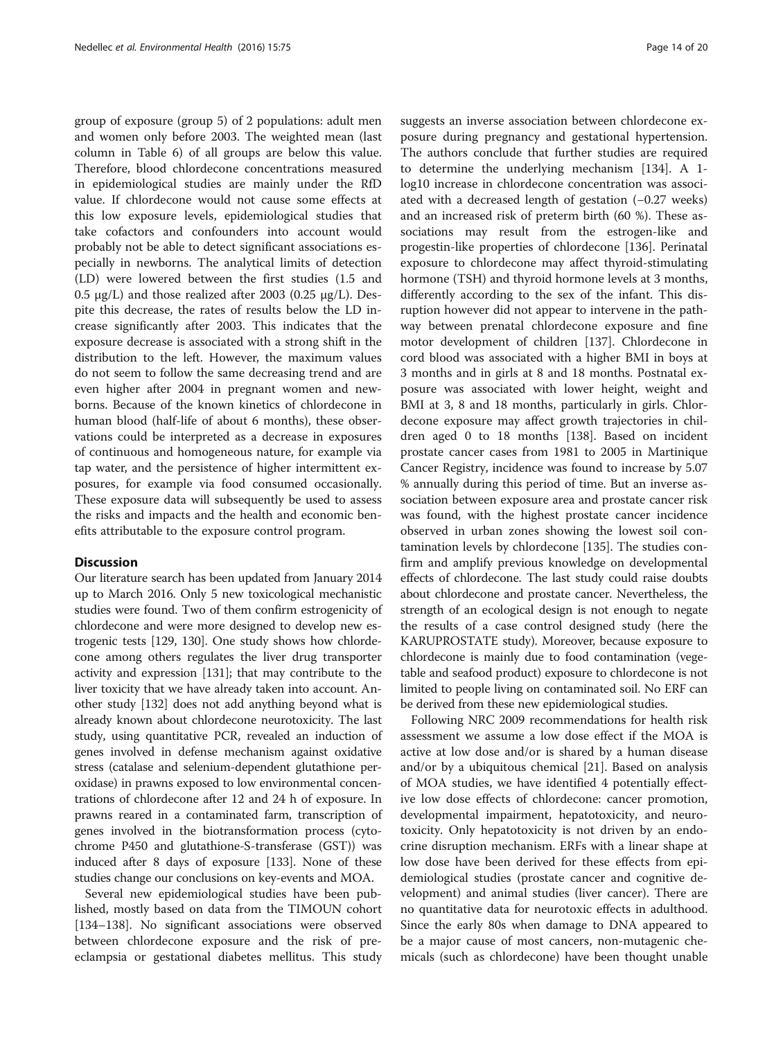group of exposure (group 5) of 2 populations: adult men and women only before 2003. The weighted mean (last column in Table [6](#page-12-0)) of all groups are below this value. Therefore, blood chlordecone concentrations measured in epidemiological studies are mainly under the RfD value. If chlordecone would not cause some effects at this low exposure levels, epidemiological studies that take cofactors and confounders into account would probably not be able to detect significant associations especially in newborns. The analytical limits of detection (LD) were lowered between the first studies (1.5 and 0.5 μg/L) and those realized after 2003 (0.25 μg/L). Despite this decrease, the rates of results below the LD increase significantly after 2003. This indicates that the exposure decrease is associated with a strong shift in the distribution to the left. However, the maximum values do not seem to follow the same decreasing trend and are even higher after 2004 in pregnant women and newborns. Because of the known kinetics of chlordecone in human blood (half-life of about 6 months), these observations could be interpreted as a decrease in exposures of continuous and homogeneous nature, for example via tap water, and the persistence of higher intermittent exposures, for example via food consumed occasionally. These exposure data will subsequently be used to assess the risks and impacts and the health and economic benefits attributable to the exposure control program.

# Discussion

Our literature search has been updated from January 2014 up to March 2016. Only 5 new toxicological mechanistic studies were found. Two of them confirm estrogenicity of chlordecone and were more designed to develop new estrogenic tests [\[129](#page-19-0), [130\]](#page-19-0). One study shows how chlordecone among others regulates the liver drug transporter activity and expression [[131](#page-19-0)]; that may contribute to the liver toxicity that we have already taken into account. Another study [\[132\]](#page-19-0) does not add anything beyond what is already known about chlordecone neurotoxicity. The last study, using quantitative PCR, revealed an induction of genes involved in defense mechanism against oxidative stress (catalase and selenium-dependent glutathione peroxidase) in prawns exposed to low environmental concentrations of chlordecone after 12 and 24 h of exposure. In prawns reared in a contaminated farm, transcription of genes involved in the biotransformation process (cytochrome P450 and glutathione-S-transferase (GST)) was induced after 8 days of exposure [[133](#page-19-0)]. None of these studies change our conclusions on key-events and MOA.

Several new epidemiological studies have been published, mostly based on data from the TIMOUN cohort [[134](#page-19-0)–[138](#page-19-0)]. No significant associations were observed between chlordecone exposure and the risk of preeclampsia or gestational diabetes mellitus. This study suggests an inverse association between chlordecone exposure during pregnancy and gestational hypertension. The authors conclude that further studies are required to determine the underlying mechanism [\[134\]](#page-19-0). A 1 log10 increase in chlordecone concentration was associated with a decreased length of gestation (−0.27 weeks) and an increased risk of preterm birth (60 %). These associations may result from the estrogen-like and progestin-like properties of chlordecone [[136](#page-19-0)]. Perinatal exposure to chlordecone may affect thyroid-stimulating hormone (TSH) and thyroid hormone levels at 3 months, differently according to the sex of the infant. This disruption however did not appear to intervene in the pathway between prenatal chlordecone exposure and fine motor development of children [[137\]](#page-19-0). Chlordecone in cord blood was associated with a higher BMI in boys at 3 months and in girls at 8 and 18 months. Postnatal exposure was associated with lower height, weight and BMI at 3, 8 and 18 months, particularly in girls. Chlordecone exposure may affect growth trajectories in children aged 0 to 18 months [[138](#page-19-0)]. Based on incident prostate cancer cases from 1981 to 2005 in Martinique Cancer Registry, incidence was found to increase by 5.07 % annually during this period of time. But an inverse association between exposure area and prostate cancer risk was found, with the highest prostate cancer incidence observed in urban zones showing the lowest soil contamination levels by chlordecone [\[135](#page-19-0)]. The studies confirm and amplify previous knowledge on developmental effects of chlordecone. The last study could raise doubts about chlordecone and prostate cancer. Nevertheless, the strength of an ecological design is not enough to negate the results of a case control designed study (here the KARUPROSTATE study). Moreover, because exposure to chlordecone is mainly due to food contamination (vegetable and seafood product) exposure to chlordecone is not limited to people living on contaminated soil. No ERF can be derived from these new epidemiological studies.

Following NRC 2009 recommendations for health risk assessment we assume a low dose effect if the MOA is active at low dose and/or is shared by a human disease and/or by a ubiquitous chemical [[21\]](#page-17-0). Based on analysis of MOA studies, we have identified 4 potentially effective low dose effects of chlordecone: cancer promotion, developmental impairment, hepatotoxicity, and neurotoxicity. Only hepatotoxicity is not driven by an endocrine disruption mechanism. ERFs with a linear shape at low dose have been derived for these effects from epidemiological studies (prostate cancer and cognitive development) and animal studies (liver cancer). There are no quantitative data for neurotoxic effects in adulthood. Since the early 80s when damage to DNA appeared to be a major cause of most cancers, non-mutagenic chemicals (such as chlordecone) have been thought unable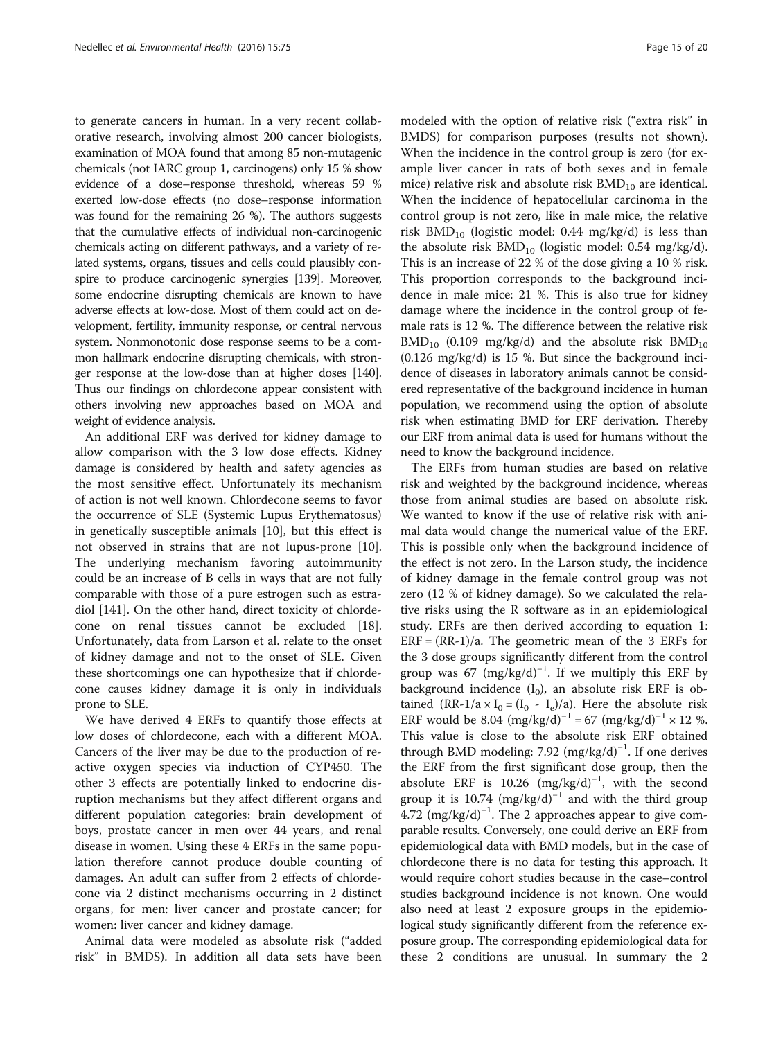to generate cancers in human. In a very recent collaborative research, involving almost 200 cancer biologists, examination of MOA found that among 85 non-mutagenic chemicals (not IARC group 1, carcinogens) only 15 % show evidence of a dose–response threshold, whereas 59 % exerted low-dose effects (no dose–response information was found for the remaining 26 %). The authors suggests that the cumulative effects of individual non-carcinogenic chemicals acting on different pathways, and a variety of related systems, organs, tissues and cells could plausibly conspire to produce carcinogenic synergies [[139\]](#page-19-0). Moreover, some endocrine disrupting chemicals are known to have adverse effects at low-dose. Most of them could act on development, fertility, immunity response, or central nervous system. Nonmonotonic dose response seems to be a common hallmark endocrine disrupting chemicals, with stronger response at the low-dose than at higher doses [\[140](#page-19-0)]. Thus our findings on chlordecone appear consistent with others involving new approaches based on MOA and weight of evidence analysis.

An additional ERF was derived for kidney damage to allow comparison with the 3 low dose effects. Kidney damage is considered by health and safety agencies as the most sensitive effect. Unfortunately its mechanism of action is not well known. Chlordecone seems to favor the occurrence of SLE (Systemic Lupus Erythematosus) in genetically susceptible animals [[10](#page-17-0)], but this effect is not observed in strains that are not lupus-prone [\[10](#page-17-0)]. The underlying mechanism favoring autoimmunity could be an increase of B cells in ways that are not fully comparable with those of a pure estrogen such as estradiol [[141](#page-19-0)]. On the other hand, direct toxicity of chlordecone on renal tissues cannot be excluded [\[18](#page-17-0)]. Unfortunately, data from Larson et al. relate to the onset of kidney damage and not to the onset of SLE. Given these shortcomings one can hypothesize that if chlordecone causes kidney damage it is only in individuals prone to SLE.

We have derived 4 ERFs to quantify those effects at low doses of chlordecone, each with a different MOA. Cancers of the liver may be due to the production of reactive oxygen species via induction of CYP450. The other 3 effects are potentially linked to endocrine disruption mechanisms but they affect different organs and different population categories: brain development of boys, prostate cancer in men over 44 years, and renal disease in women. Using these 4 ERFs in the same population therefore cannot produce double counting of damages. An adult can suffer from 2 effects of chlordecone via 2 distinct mechanisms occurring in 2 distinct organs, for men: liver cancer and prostate cancer; for women: liver cancer and kidney damage.

Animal data were modeled as absolute risk ("added risk" in BMDS). In addition all data sets have been

modeled with the option of relative risk ("extra risk" in BMDS) for comparison purposes (results not shown). When the incidence in the control group is zero (for example liver cancer in rats of both sexes and in female mice) relative risk and absolute risk  $BMD_{10}$  are identical. When the incidence of hepatocellular carcinoma in the control group is not zero, like in male mice, the relative risk  $BMD_{10}$  (logistic model: 0.44 mg/kg/d) is less than the absolute risk  $BMD_{10}$  (logistic model: 0.54 mg/kg/d). This is an increase of 22 % of the dose giving a 10 % risk. This proportion corresponds to the background incidence in male mice: 21 %. This is also true for kidney damage where the incidence in the control group of female rats is 12 %. The difference between the relative risk  $BMD_{10}$  (0.109 mg/kg/d) and the absolute risk  $BMD_{10}$ (0.126 mg/kg/d) is 15 %. But since the background incidence of diseases in laboratory animals cannot be considered representative of the background incidence in human population, we recommend using the option of absolute risk when estimating BMD for ERF derivation. Thereby our ERF from animal data is used for humans without the need to know the background incidence.

The ERFs from human studies are based on relative risk and weighted by the background incidence, whereas those from animal studies are based on absolute risk. We wanted to know if the use of relative risk with animal data would change the numerical value of the ERF. This is possible only when the background incidence of the effect is not zero. In the Larson study, the incidence of kidney damage in the female control group was not zero (12 % of kidney damage). So we calculated the relative risks using the R software as in an epidemiological study. ERFs are then derived according to equation [1](#page-3-0):  $ERF = (RR-1)/a$ . The geometric mean of the 3 ERFs for the 3 dose groups significantly different from the control group was 67  $(mg/kg/d)^{-1}$ . If we multiply this ERF by background incidence  $(I_0)$ , an absolute risk ERF is obtained  $(RR-1/a \times I_0 = (I_0 - I_e)/a)$ . Here the absolute risk ERF would be 8.04  $(mg/kg/d)^{-1} = 67 (mg/kg/d)^{-1} \times 12 \%$ . This value is close to the absolute risk ERF obtained through BMD modeling: 7.92 (mg/kg/d)<sup>-1</sup>. If one derives the ERF from the first significant dose group, then the absolute ERF is 10.26 (mg/kg/d)<sup>-1</sup>, with the second group it is 10.74 (mg/kg/d)<sup>-1</sup> and with the third group 4.72 (mg/kg/d)−<sup>1</sup> . The 2 approaches appear to give comparable results. Conversely, one could derive an ERF from epidemiological data with BMD models, but in the case of chlordecone there is no data for testing this approach. It would require cohort studies because in the case–control studies background incidence is not known. One would also need at least 2 exposure groups in the epidemiological study significantly different from the reference exposure group. The corresponding epidemiological data for these 2 conditions are unusual. In summary the 2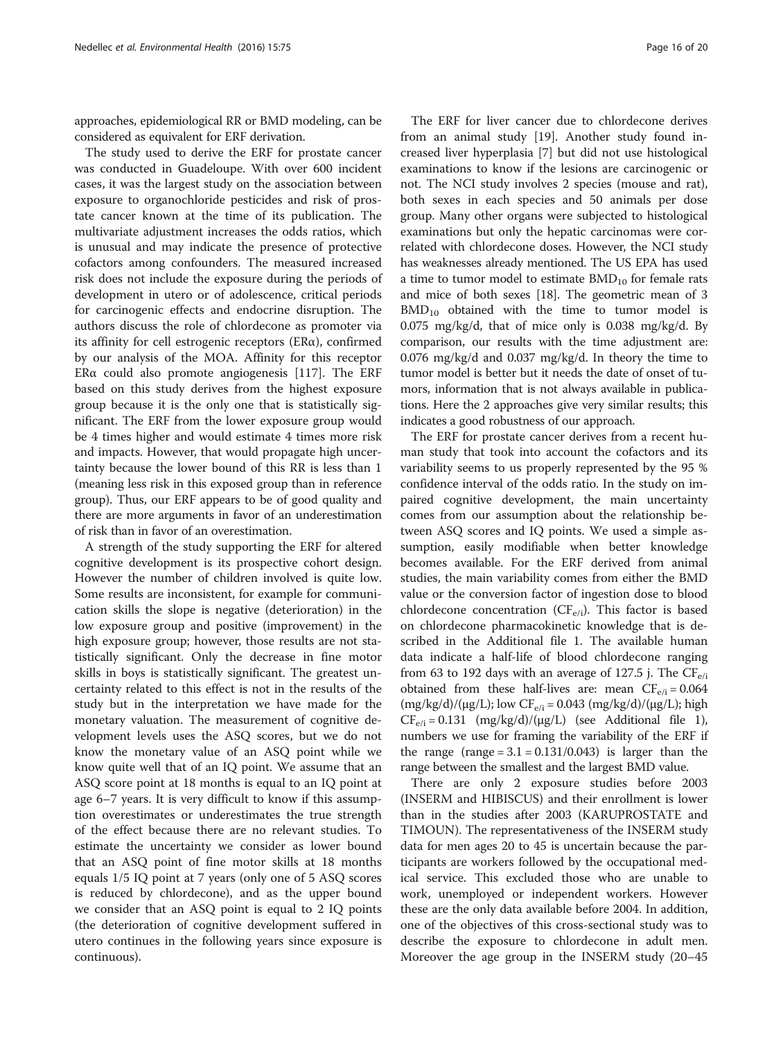approaches, epidemiological RR or BMD modeling, can be considered as equivalent for ERF derivation.

The study used to derive the ERF for prostate cancer was conducted in Guadeloupe. With over 600 incident cases, it was the largest study on the association between exposure to organochloride pesticides and risk of prostate cancer known at the time of its publication. The multivariate adjustment increases the odds ratios, which is unusual and may indicate the presence of protective cofactors among confounders. The measured increased risk does not include the exposure during the periods of development in utero or of adolescence, critical periods for carcinogenic effects and endocrine disruption. The authors discuss the role of chlordecone as promoter via its affinity for cell estrogenic receptors (ERα), confirmed by our analysis of the MOA. Affinity for this receptor ERα could also promote angiogenesis [\[117](#page-19-0)]. The ERF based on this study derives from the highest exposure group because it is the only one that is statistically significant. The ERF from the lower exposure group would be 4 times higher and would estimate 4 times more risk and impacts. However, that would propagate high uncertainty because the lower bound of this RR is less than 1 (meaning less risk in this exposed group than in reference group). Thus, our ERF appears to be of good quality and there are more arguments in favor of an underestimation of risk than in favor of an overestimation.

A strength of the study supporting the ERF for altered cognitive development is its prospective cohort design. However the number of children involved is quite low. Some results are inconsistent, for example for communication skills the slope is negative (deterioration) in the low exposure group and positive (improvement) in the high exposure group; however, those results are not statistically significant. Only the decrease in fine motor skills in boys is statistically significant. The greatest uncertainty related to this effect is not in the results of the study but in the interpretation we have made for the monetary valuation. The measurement of cognitive development levels uses the ASQ scores, but we do not know the monetary value of an ASQ point while we know quite well that of an IQ point. We assume that an ASQ score point at 18 months is equal to an IQ point at age 6–7 years. It is very difficult to know if this assumption overestimates or underestimates the true strength of the effect because there are no relevant studies. To estimate the uncertainty we consider as lower bound that an ASQ point of fine motor skills at 18 months equals 1/5 IQ point at 7 years (only one of 5 ASQ scores is reduced by chlordecone), and as the upper bound we consider that an ASQ point is equal to 2 IQ points (the deterioration of cognitive development suffered in utero continues in the following years since exposure is continuous).

The ERF for liver cancer due to chlordecone derives from an animal study [\[19](#page-17-0)]. Another study found increased liver hyperplasia [[7\]](#page-17-0) but did not use histological examinations to know if the lesions are carcinogenic or not. The NCI study involves 2 species (mouse and rat), both sexes in each species and 50 animals per dose group. Many other organs were subjected to histological examinations but only the hepatic carcinomas were correlated with chlordecone doses. However, the NCI study has weaknesses already mentioned. The US EPA has used a time to tumor model to estimate  $BMD_{10}$  for female rats and mice of both sexes [\[18\]](#page-17-0). The geometric mean of 3  $BMD_{10}$  obtained with the time to tumor model is 0.075 mg/kg/d, that of mice only is 0.038 mg/kg/d. By comparison, our results with the time adjustment are: 0.076 mg/kg/d and 0.037 mg/kg/d. In theory the time to tumor model is better but it needs the date of onset of tumors, information that is not always available in publications. Here the 2 approaches give very similar results; this indicates a good robustness of our approach.

The ERF for prostate cancer derives from a recent human study that took into account the cofactors and its variability seems to us properly represented by the 95 % confidence interval of the odds ratio. In the study on impaired cognitive development, the main uncertainty comes from our assumption about the relationship between ASQ scores and IQ points. We used a simple assumption, easily modifiable when better knowledge becomes available. For the ERF derived from animal studies, the main variability comes from either the BMD value or the conversion factor of ingestion dose to blood chlordecone concentration ( $CF_{e/i}$ ). This factor is based on chlordecone pharmacokinetic knowledge that is described in the Additional file [1](#page-16-0). The available human data indicate a half-life of blood chlordecone ranging from 63 to 192 days with an average of 127.5 j. The  $CF_{e/i}$ obtained from these half-lives are: mean  $CF_{e/i} = 0.064$  $(mg/kg/d)/(\mu g/L)$ ; low CF<sub>e/i</sub> = 0.043  $(mg/kg/d)/(\mu g/L)$ ; high  $CF_{e/i} = 0.131$  (mg/kg/d)/(μg/L) (see Additional file [1](#page-16-0)), numbers we use for framing the variability of the ERF if the range  $(range = 3.1 = 0.131/0.043)$  is larger than the range between the smallest and the largest BMD value.

There are only 2 exposure studies before 2003 (INSERM and HIBISCUS) and their enrollment is lower than in the studies after 2003 (KARUPROSTATE and TIMOUN). The representativeness of the INSERM study data for men ages 20 to 45 is uncertain because the participants are workers followed by the occupational medical service. This excluded those who are unable to work, unemployed or independent workers. However these are the only data available before 2004. In addition, one of the objectives of this cross-sectional study was to describe the exposure to chlordecone in adult men. Moreover the age group in the INSERM study (20–45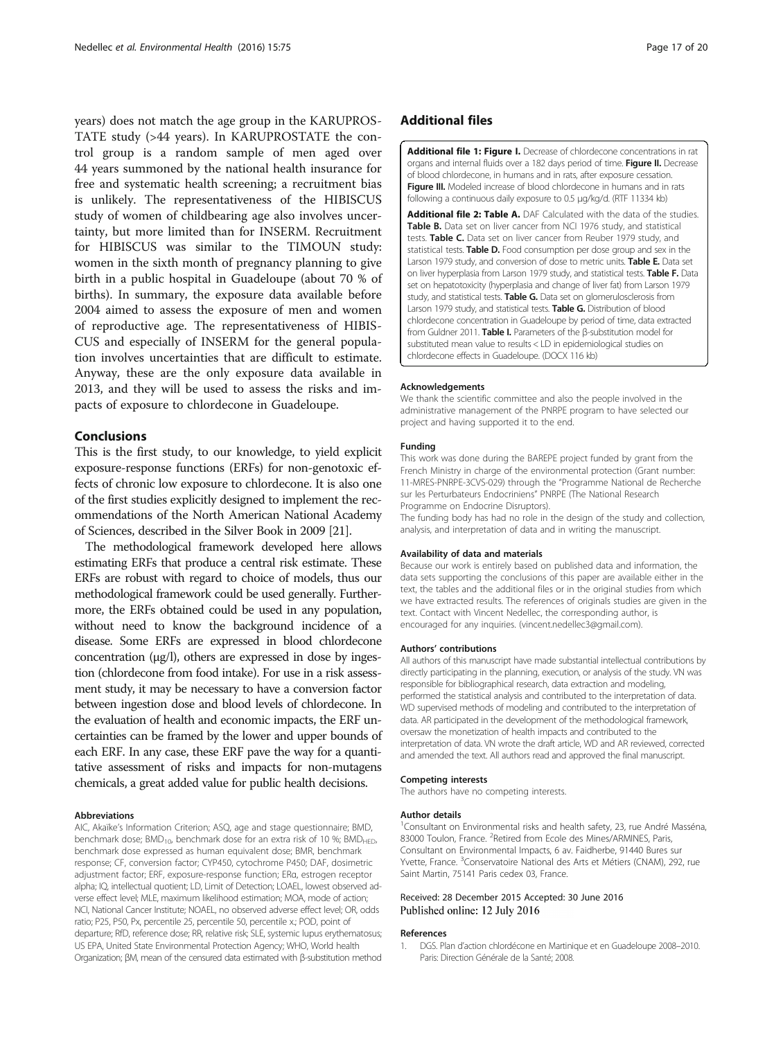<span id="page-16-0"></span>years) does not match the age group in the KARUPROS-TATE study (>44 years). In KARUPROSTATE the control group is a random sample of men aged over 44 years summoned by the national health insurance for free and systematic health screening; a recruitment bias is unlikely. The representativeness of the HIBISCUS study of women of childbearing age also involves uncertainty, but more limited than for INSERM. Recruitment for HIBISCUS was similar to the TIMOUN study: women in the sixth month of pregnancy planning to give birth in a public hospital in Guadeloupe (about 70 % of births). In summary, the exposure data available before 2004 aimed to assess the exposure of men and women of reproductive age. The representativeness of HIBIS-CUS and especially of INSERM for the general population involves uncertainties that are difficult to estimate. Anyway, these are the only exposure data available in 2013, and they will be used to assess the risks and impacts of exposure to chlordecone in Guadeloupe.

### Conclusions

This is the first study, to our knowledge, to yield explicit exposure-response functions (ERFs) for non-genotoxic effects of chronic low exposure to chlordecone. It is also one of the first studies explicitly designed to implement the recommendations of the North American National Academy of Sciences, described in the Silver Book in 2009 [\[21\]](#page-17-0).

The methodological framework developed here allows estimating ERFs that produce a central risk estimate. These ERFs are robust with regard to choice of models, thus our methodological framework could be used generally. Furthermore, the ERFs obtained could be used in any population, without need to know the background incidence of a disease. Some ERFs are expressed in blood chlordecone concentration (μg/l), others are expressed in dose by ingestion (chlordecone from food intake). For use in a risk assessment study, it may be necessary to have a conversion factor between ingestion dose and blood levels of chlordecone. In the evaluation of health and economic impacts, the ERF uncertainties can be framed by the lower and upper bounds of each ERF. In any case, these ERF pave the way for a quantitative assessment of risks and impacts for non-mutagens chemicals, a great added value for public health decisions.

#### Abbreviations

AIC, Akaïke's Information Criterion; ASQ, age and stage questionnaire; BMD, benchmark dose;  $BMD_{10}$ , benchmark dose for an extra risk of 10 %;  $BMD_{HED}$ , benchmark dose expressed as human equivalent dose; BMR, benchmark response; CF, conversion factor; CYP450, cytochrome P450; DAF, dosimetric adjustment factor; ERF, exposure-response function; ERα, estrogen receptor alpha; IQ, intellectual quotient; LD, Limit of Detection; LOAEL, lowest observed adverse effect level; MLE, maximum likelihood estimation; MOA, mode of action; NCI, National Cancer Institute; NOAEL, no observed adverse effect level; OR, odds ratio; P25, P50, Px, percentile 25, percentile 50, percentile x.; POD, point of departure; RfD, reference dose; RR, relative risk; SLE, systemic lupus erythematosus; US EPA, United State Environmental Protection Agency; WHO, World health Organization; βM, mean of the censured data estimated with β-substitution method

# Additional files

[Additional file 1: Figure I.](dx.doi.org/10.1186/s12940-016-0160-x) Decrease of chlordecone concentrations in rat organs and internal fluids over a 182 days period of time. Figure II. Decrease of blood chlordecone, in humans and in rats, after exposure cessation. Figure III. Modeled increase of blood chlordecone in humans and in rats following a continuous daily exposure to 0.5 μg/kg/d. (RTF 11334 kb)

[Additional file 2: Table A.](dx.doi.org/10.1186/s12940-016-0160-x) DAF Calculated with the data of the studies. Table B. Data set on liver cancer from NCI 1976 study, and statistical tests. Table C. Data set on liver cancer from Reuber 1979 study, and statistical tests. Table D. Food consumption per dose group and sex in the Larson 1979 study, and conversion of dose to metric units. Table E. Data set on liver hyperplasia from Larson 1979 study, and statistical tests. Table F. Data set on hepatotoxicity (hyperplasia and change of liver fat) from Larson 1979 study, and statistical tests. Table G. Data set on glomerulosclerosis from Larson 1979 study, and statistical tests. **Table G.** Distribution of blood chlordecone concentration in Guadeloupe by period of time, data extracted from Guldner 2011. Table I. Parameters of the β-substitution model for substituted mean value to results < LD in epidemiological studies on chlordecone effects in Guadeloupe. (DOCX 116 kb)

#### Acknowledgements

We thank the scientific committee and also the people involved in the administrative management of the PNRPE program to have selected our project and having supported it to the end.

#### Funding

This work was done during the BAREPE project funded by grant from the French Ministry in charge of the environmental protection (Grant number: 11-MRES-PNRPE-3CVS-029) through the "Programme National de Recherche sur les Perturbateurs Endocriniens" PNRPE (The National Research Programme on Endocrine Disruptors).

The funding body has had no role in the design of the study and collection, analysis, and interpretation of data and in writing the manuscript.

#### Availability of data and materials

Because our work is entirely based on published data and information, the data sets supporting the conclusions of this paper are available either in the text, the tables and the additional files or in the original studies from which we have extracted results. The references of originals studies are given in the text. Contact with Vincent Nedellec, the corresponding author, is encouraged for any inquiries. (vincent.nedellec3@gmail.com).

#### Authors' contributions

All authors of this manuscript have made substantial intellectual contributions by directly participating in the planning, execution, or analysis of the study. VN was responsible for bibliographical research, data extraction and modeling, performed the statistical analysis and contributed to the interpretation of data. WD supervised methods of modeling and contributed to the interpretation of data. AR participated in the development of the methodological framework, oversaw the monetization of health impacts and contributed to the interpretation of data. VN wrote the draft article, WD and AR reviewed, corrected and amended the text. All authors read and approved the final manuscript.

# Competing interests

The authors have no competing interests.

#### Author details

<sup>1</sup> Consultant on Environmental risks and health safety, 23, rue André Masséna, 83000 Toulon, France. <sup>2</sup>Retired from Ecole des Mines/ARMINES, Paris, Consultant on Environmental Impacts, 6 av. Faidherbe, 91440 Bures sur Yvette, France. <sup>3</sup>Conservatoire National des Arts et Métiers (CNAM), 292, rue Saint Martin, 75141 Paris cedex 03, France.

#### Received: 28 December 2015 Accepted: 30 June 2016 Published online: 12 July 2016

#### References

1. DGS. Plan d'action chlordécone en Martinique et en Guadeloupe 2008–2010. Paris: Direction Générale de la Santé; 2008.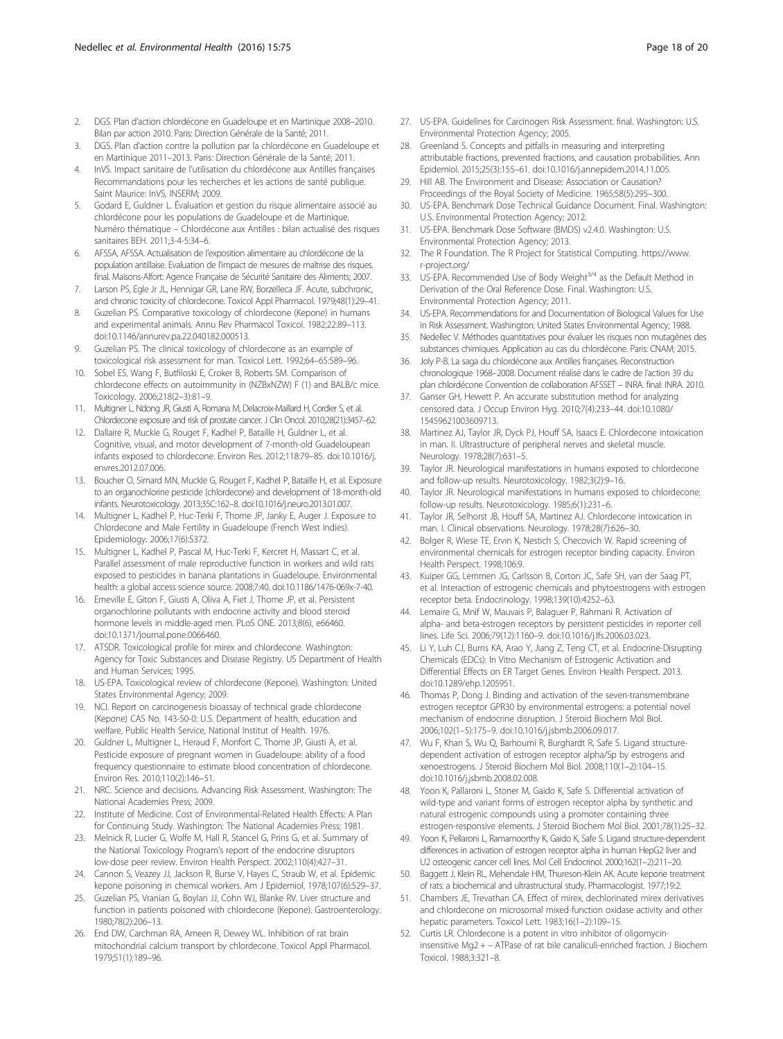- <span id="page-17-0"></span>2. DGS. Plan d'action chlordécone en Guadeloupe et en Martinique 2008–2010. Bilan par action 2010. Paris: Direction Générale de la Santé; 2011.
- 3. DGS. Plan d'action contre la pollution par la chlordécone en Guadeloupe et en Martinique 2011–2013. Paris: Direction Générale de la Santé; 2011.
- 4. InVS. Impact sanitaire de l'utilisation du chlordécone aux Antilles françaises Recommandations pour les recherches et les actions de santé publique. Saint Maurice: InVS, INSERM; 2009.
- 5. Godard E, Guldner L. Évaluation et gestion du risque alimentaire associé au chlordécone pour les populations de Guadeloupe et de Martinique. Numéro thématique – Chlordécone aux Antilles : bilan actualisé des risques sanitaires BEH. 2011;3-4-5:34–6.
- 6. AFSSA, AFSSA. Actualisation de l'exposition alimentaire au chlordécone de la population antillaise. Evaluation de l'impact de mesures de maîtrise des risques. final. Maisons-Alfort: Agence Française de Sécurité Sanitaire des Aliments; 2007.
- 7. Larson PS, Egle Jr JL, Hennigar GR, Lane RW, Borzelleca JF. Acute, subchronic, and chronic toxicity of chlordecone. Toxicol Appl Pharmacol. 1979;48(1):29–41.
- 8. Guzelian PS. Comparative toxicology of chlordecone (Kepone) in humans and experimental animals. Annu Rev Pharmacol Toxicol. 1982;22:89–113. doi[:10.1146/annurev.pa.22.040182.000513.](http://dx.doi.org/10.1146/annurev.pa.22.040182.000513)
- 9. Guzelian PS. The clinical toxicology of chlordecone as an example of toxicological risk assessment for man. Toxicol Lett. 1992;64–65:589–96.
- 10. Sobel ES, Wang F, Butfiloski E, Croker B, Roberts SM. Comparison of chlordecone effects on autoimmunity in (NZBxNZW) F (1) and BALB/c mice. Toxicology. 2006;218(2–3):81–9.
- 11. Multigner L, Ndong JR, Giusti A, Romana M, Delacroix-Maillard H, Cordier S, et al. Chlordecone exposure and risk of prostate cancer. J Clin Oncol. 2010;28(21):3457–62.
- 12. Dallaire R, Muckle G, Rouget F, Kadhel P, Bataille H, Guldner L, et al. Cognitive, visual, and motor development of 7-month-old Guadeloupean infants exposed to chlordecone. Environ Res. 2012;118:79–85. doi[:10.1016/j.](http://dx.doi.org/10.1016/j.envres.2012.07.006) [envres.2012.07.006](http://dx.doi.org/10.1016/j.envres.2012.07.006).
- 13. Boucher O, Simard MN, Muckle G, Rouget F, Kadhel P, Bataille H, et al. Exposure to an organochlorine pesticide (chlordecone) and development of 18-month-old infants. Neurotoxicology. 2013;35C:162–8. doi:[10.1016/j.neuro.2013.01.007.](http://dx.doi.org/10.1016/j.neuro.2013.01.007)
- 14. Multigner L, Kadhel P, Huc-Terki F, Thome JP, Janky E, Auger J. Exposure to Chlordecone and Male Fertility in Guadeloupe (French West Indies). Epidemiology. 2006;17(6):S372.
- 15. Multigner L, Kadhel P, Pascal M, Huc-Terki F, Kercret H, Massart C, et al. Parallel assessment of male reproductive function in workers and wild rats exposed to pesticides in banana plantations in Guadeloupe. Environmental health: a global access science source. 2008;7:40. doi[:10.1186/1476-069x-7-40.](http://dx.doi.org/10.1186/1476-069x-7-40)
- 16. Emeville E, Giton F, Giusti A, Oliva A, Fiet J, Thome JP, et al. Persistent organochlorine pollutants with endocrine activity and blood steroid hormone levels in middle-aged men. PLoS ONE. 2013;8(6), e66460. doi[:10.1371/journal.pone.0066460.](http://dx.doi.org/10.1371/journal.pone.0066460)
- 17. ATSDR. Toxicological profile for mirex and chlordecone. Washington: Agency for Toxic Substances and Disease Registry. US Department of Health and Human Services; 1995.
- 18. US-EPA. Toxicological review of chlordecone (Kepone). Washington: United States Environmental Agency; 2009.
- 19. NCI. Report on carcinogenesis bioassay of technical grade chlordecone (Kepone) CAS No. 143-50-0: U.S. Department of health, education and welfare, Public Health Service, National Institut of Health. 1976.
- 20. Guldner L, Multigner L, Heraud F, Monfort C, Thome JP, Giusti A, et al. Pesticide exposure of pregnant women in Guadeloupe: ability of a food frequency questionnaire to estimate blood concentration of chlordecone. Environ Res. 2010;110(2):146–51.
- 21. NRC. Science and decisions. Advancing Risk Assessment. Washington: The National Academies Press; 2009.
- 22. Institute of Medicine. Cost of Environmental-Related Health Effects: A Plan for Continuing Study. Washington: The National Academies Press; 1981.
- 23. Melnick R, Lucier G, Wolfe M, Hall R, Stancel G, Prins G, et al. Summary of the National Toxicology Program's report of the endocrine disruptors low-dose peer review. Environ Health Perspect. 2002;110(4):427–31.
- 24. Cannon S, Veazey JJ, Jackson R, Burse V, Hayes C, Straub W, et al. Epidemic kepone poisoning in chemical workers. Am J Epidemiol. 1978;107(6):529–37.
- 25. Guzelian PS, Vranian G, Boylan JJ, Cohn WJ, Blanke RV. Liver structure and function in patients poisoned with chlordecone (Kepone). Gastroenterology. 1980;78(2):206–13.
- 26. End DW, Carchman RA, Ameen R, Dewey WL. Inhibition of rat brain mitochondrial calcium transport by chlordecone. Toxicol Appl Pharmacol. 1979;51(1):189–96.
- 27. US-EPA. Guidelines for Carcinogen Risk Assessment. final. Washington: U.S. Environmental Protection Agency; 2005.
- 28. Greenland S. Concepts and pitfalls in measuring and interpreting attributable fractions, prevented fractions, and causation probabilities. Ann Epidemiol. 2015;25(3):155–61. doi:[10.1016/j.annepidem.2014.11.005](http://dx.doi.org/10.1016/j.annepidem.2014.11.005).
- 29. Hill AB. The Environment and Disease: Association or Causation? Proceedings of the Royal Society of Medicine. 1965;58(5):295–300.
- 30. US-EPA. Benchmark Dose Technical Guidance Document. Final. Washington: U.S. Environmental Protection Agency; 2012.
- 31. US-EPA. Benchmark Dose Software (BMDS) v2.4.0. Washington: U.S. Environmental Protection Agency; 2013.
- 32. The R Foundation. The R Project for Statistical Computing. https://www. r-project.org/
- 33. US-EPA. Recommended Use of Body Weight<sup>3/4</sup> as the Default Method in Derivation of the Oral Reference Dose. Final. Washington: U.S. Environmental Protection Agency; 2011.
- 34. US-EPA. Recommendations for and Documentation of Biological Values for Use in Risk Assessment. Washington: United States Environmental Agency; 1988.
- 35. Nedellec V. Méthodes quantitatives pour évaluer les risques non mutagènes des substances chimiques. Application au cas du chlordécone. Paris: CNAM; 2015.
- 36. Joly P-B. La saga du chlordécone aux Antilles françaises. Reconstruction chronologique 1968–2008. Document réalisé dans le cadre de l'action 39 du plan chlordécone Convention de collaboration AFSSET – INRA. final: INRA. 2010.
- 37. Ganser GH, Hewett P. An accurate substitution method for analyzing censored data. J Occup Environ Hyg. 2010;7(4):233–44. doi:[10.1080/](http://dx.doi.org/10.1080/15459621003609713) [15459621003609713.](http://dx.doi.org/10.1080/15459621003609713)
- 38. Martinez AJ, Taylor JR, Dyck PJ, Houff SA, Isaacs E. Chlordecone intoxication in man. II. Ultrastructure of peripheral nerves and skeletal muscle. Neurology. 1978;28(7):631–5.
- 39. Taylor JR. Neurological manifestations in humans exposed to chlordecone and follow-up results. Neurotoxicology. 1982;3(2):9–16.
- 40. Taylor JR. Neurological manifestations in humans exposed to chlordecone: follow-up results. Neurotoxicology. 1985;6(1):231–6.
- 41. Taylor JR, Selhorst JB, Houff SA, Martinez AJ. Chlordecone intoxication in man. I. Clinical observations. Neurology. 1978;28(7):626–30.
- 42. Bolger R, Wiese TE, Ervin K, Nestich S, Checovich W. Rapid screening of environmental chemicals for estrogen receptor binding capacity. Environ Health Perspect. 1998;106:9.
- 43. Kuiper GG, Lemmen JG, Carlsson B, Corton JC, Safe SH, van der Saag PT, et al. Interaction of estrogenic chemicals and phytoestrogens with estrogen receptor beta. Endocrinology. 1998;139(10):4252–63.
- 44. Lemaire G, Mnif W, Mauvais P, Balaguer P, Rahmani R. Activation of alpha- and beta-estrogen receptors by persistent pesticides in reporter cell lines. Life Sci. 2006;79(12):1160–9. doi:[10.1016/j.lfs.2006.03.023.](http://dx.doi.org/10.1016/j.lfs.2006.03.023)
- 45. Li Y, Luh CJ, Burns KA, Arao Y, Jiang Z, Teng CT, et al. Endocrine-Disrupting Chemicals (EDCs): In Vitro Mechanism of Estrogenic Activation and Differential Effects on ER Target Genes. Environ Health Perspect. 2013. doi[:10.1289/ehp.1205951](http://dx.doi.org/10.1289/ehp.1205951).
- 46. Thomas P, Dong J. Binding and activation of the seven-transmembrane estrogen receptor GPR30 by environmental estrogens: a potential novel mechanism of endocrine disruption. J Steroid Biochem Mol Biol. 2006;102(1–5):175–9. doi:[10.1016/j.jsbmb.2006.09.017.](http://dx.doi.org/10.1016/j.jsbmb.2006.09.017)
- 47. Wu F, Khan S, Wu Q, Barhoumi R, Burghardt R, Safe S. Ligand structuredependent activation of estrogen receptor alpha/Sp by estrogens and xenoestrogens. J Steroid Biochem Mol Biol. 2008;110(1–2):104–15. doi[:10.1016/j.jsbmb.2008.02.008.](http://dx.doi.org/10.1016/j.jsbmb.2008.02.008)
- 48. Yoon K, Pallaroni L, Stoner M, Gaido K, Safe S. Differential activation of wild-type and variant forms of estrogen receptor alpha by synthetic and natural estrogenic compounds using a promoter containing three estrogen-responsive elements. J Steroid Biochem Mol Biol. 2001;78(1):25–32.
- 49. Yoon K, Pellaroni L, Ramamoorthy K, Gaido K, Safe S. Ligand structure-dependent differences in activation of estrogen receptor alpha in human HepG2 liver and U2 osteogenic cancer cell lines. Mol Cell Endocrinol. 2000;162(1–2):211–20.
- 50. Baggett J, Klein RL, Mehendale HM, Thureson-Klein AK. Acute kepone treatment of rats: a biochemical and ultrastructural study. Pharmacologist. 1977;19:2.
- 51. Chambers JE, Trevathan CA. Effect of mirex, dechlorinated mirex derivatives and chlordecone on microsomal mixed-function oxidase activity and other hepatic parameters. Toxicol Lett. 1983;16(1–2):109–15.
- 52. Curtis LR. Chlordecone is a potent in vitro inhibitor of oligomycininsensitive Mg2 + − ATPase of rat bile canaliculi-enriched fraction. J Biochem Toxicol. 1988;3:321–8.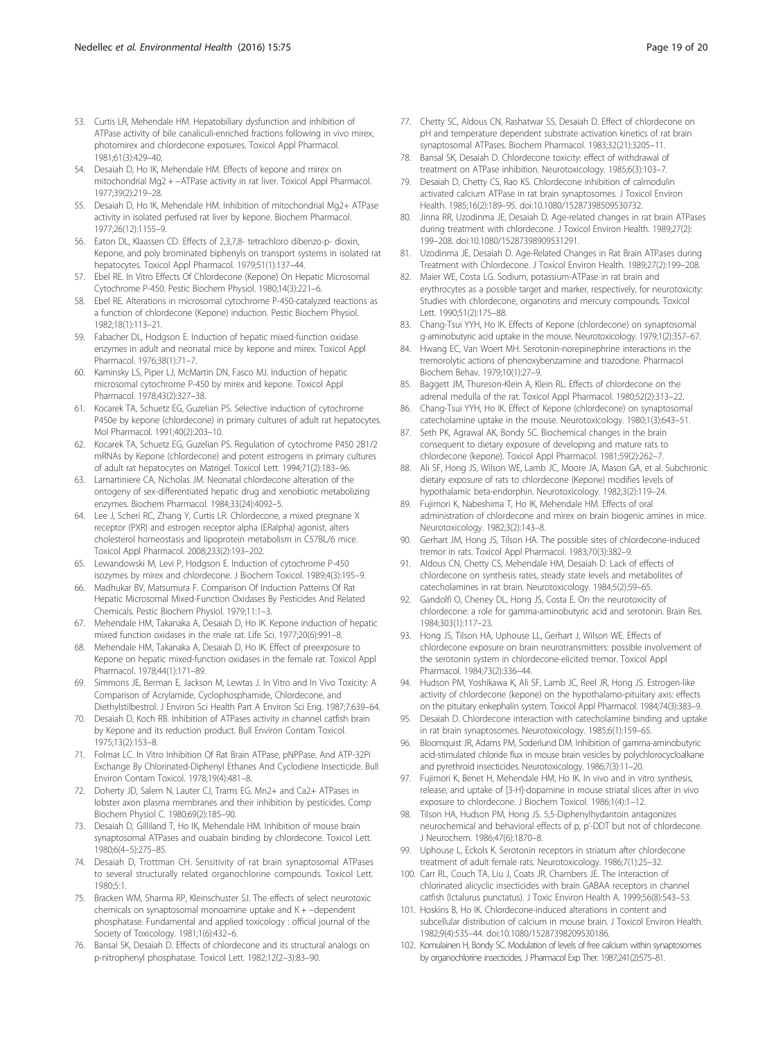- <span id="page-18-0"></span>53. Curtis LR, Mehendale HM. Hepatobiliary dysfunction and inhibition of ATPase activity of bile canaliculi-enriched fractions following in vivo mirex, photomirex and chlordecone exposures. Toxicol Appl Pharmacol. 1981;61(3):429–40.
- 54. Desaiah D, Ho IK, Mehendale HM. Effects of kepone and mirex on mitochondrial Mg2 + −ATPase activity in rat liver. Toxicol Appl Pharmacol. 1977;39(2):219–28.
- 55. Desaiah D, Ho IK, Mehendale HM. Inhibition of mitochondrial Mg2+ ATPase activity in isolated perfused rat liver by kepone. Biochem Pharmacol. 1977;26(12):1155–9.
- 56. Eaton DL, Klaassen CD. Effects of 2,3,7,8- tetrachloro dibenzo-p- dioxin, Kepone, and poly brominated biphenyls on transport systems in isolated rat hepatocytes. Toxicol Appl Pharmacol. 1979;51(1):137–44.
- 57. Ebel RE. In Vitro Effects Of Chlordecone (Kepone) On Hepatic Microsomal Cytochrome P-450. Pestic Biochem Physiol. 1980;14(3):221–6.
- 58. Ebel RE. Alterations in microsomal cytochrome P-450-catalyzed reactions as a function of chlordecone (Kepone) induction. Pestic Biochem Physiol. 1982;18(1):113–21.
- 59. Fabacher DL, Hodgson E. Induction of hepatic mixed-function oxidase enzymes in adult and neonatal mice by kepone and mirex. Toxicol Appl Pharmacol. 1976;38(1):71–7.
- 60. Kaminsky LS, Piper LJ, McMartin DN, Fasco MJ. Induction of hepatic microsomal cytochrome P-450 by mirex and kepone. Toxicol Appl Pharmacol. 1978;43(2):327–38.
- 61. Kocarek TA, Schuetz EG, Guzelian PS. Selective induction of cytochrome P450e by kepone (chlordecone) in primary cultures of adult rat hepatocytes. Mol Pharmacol. 1991;40(2):203–10.
- 62. Kocarek TA, Schuetz EG, Guzelian PS. Regulation of cytochrome P450 2B1/2 mRNAs by Kepone (chlordecone) and potent estrogens in primary cultures of adult rat hepatocytes on Matrigel. Toxicol Lett. 1994;71(2):183–96.
- 63. Lamartiniere CA, Nicholas JM. Neonatal chlordecone alteration of the ontogeny of sex-differentiated hepatic drug and xenobiotic metabolizing enzymes. Biochem Pharmacol. 1984;33(24):4092–5.
- 64. Lee J, Scheri RC, Zhang Y, Curtis LR. Chlordecone, a mixed pregnane X receptor (PXR) and estrogen receptor alpha (ERalpha) agonist, alters cholesterol homeostasis and lipoprotein metabolism in C57BL/6 mice. Toxicol Appl Pharmacol. 2008;233(2):193–202.
- 65. Lewandowski M, Levi P, Hodgson E. Induction of cytochrome P-450 isozymes by mirex and chlordecone. J Biochem Toxicol. 1989;4(3):195–9.
- 66. Madhukar BV, Matsumura F. Comparison Of Induction Patterns Of Rat Hepatic Microsomal Mixed-Function Oxidases By Pesticides And Related Chemicals. Pestic Biochem Physiol. 1979;11:1–3.
- 67. Mehendale HM, Takanaka A, Desaiah D, Ho IK. Kepone induction of hepatic mixed function oxidases in the male rat. Life Sci. 1977;20(6):991–8.
- 68. Mehendale HM, Takanaka A, Desaiah D, Ho IK. Effect of preexposure to Kepone on hepatic mixed-function oxidases in the female rat. Toxicol Appl Pharmacol. 1978;44(1):171–89.
- 69. Simmons JE, Berman E, Jackson M, Lewtas J. In Vitro and In Vivo Toxicity: A Comparison of Acrylamide, Cyclophosphamide, Chlordecone, and Diethylstilbestrol. J Environ Sci Health Part A Environ Sci Eng. 1987;7:639–64.
- 70. Desaiah D, Koch RB. Inhibition of ATPases activity in channel catfish brain by Kepone and its reduction product. Bull Environ Contam Toxicol. 1975;13(2):153–8.
- 71. Folmar LC. In Vitro Inhibition Of Rat Brain ATPase, pNPPase, And ATP-32Pi Exchange By Chlorinated-Diphenyl Ethanes And Cyclodiene Insecticide. Bull Environ Contam Toxicol. 1978;19(4):481–8.
- 72. Doherty JD, Salem N, Lauter CJ, Trams EG. Mn2+ and Ca2+ ATPases in lobster axon plasma membranes and their inhibition by pesticides. Comp Biochem Physiol C. 1980;69(2):185–90.
- 73. Desaiah D, Gilliland T, Ho IK, Mehendale HM. Inhibition of mouse brain synaptosomal ATPases and ouabain binding by chlordecone. Toxicol Lett. 1980;6(4–5):275–85.
- 74. Desaiah D, Trottman CH. Sensitivity of rat brain synaptosomal ATPases to several structurally related organochlorine compounds. Toxicol Lett. 1980;5:1.
- 75. Bracken WM, Sharma RP, Kleinschuster SJ. The effects of select neurotoxic chemicals on synaptosomal monoamine uptake and K + −dependent phosphatase. Fundamental and applied toxicology : official journal of the Society of Toxicology. 1981;1(6):432–6.
- 76. Bansal SK, Desaiah D. Effects of chlordecone and its structural analogs on p-nitrophenyl phosphatase. Toxicol Lett. 1982;12(2–3):83–90.
- 77. Chetty SC, Aldous CN, Rashatwar SS, Desaiah D. Effect of chlordecone on pH and temperature dependent substrate activation kinetics of rat brain synaptosomal ATPases. Biochem Pharmacol. 1983;32(21):3205–11.
- 78. Bansal SK, Desaiah D. Chlordecone toxicity: effect of withdrawal of treatment on ATPase inhibition. Neurotoxicology. 1985;6(3):103–7.
- 79. Desaiah D, Chetty CS, Rao KS. Chlordecone inhibition of calmodulin activated calcium ATPase in rat brain synaptosomes. J Toxicol Environ Health. 1985;16(2):189–95. doi:[10.1080/15287398509530732.](http://dx.doi.org/10.1080/15287398509530732)
- 80. Jinna RR, Uzodinma JE, Desaiah D. Age-related changes in rat brain ATPases during treatment with chlordecone. J Toxicol Environ Health. 1989;27(2): 199–208. doi[:10.1080/15287398909531291.](http://dx.doi.org/10.1080/15287398909531291)
- 81. Uzodinma JE, Desaiah D. Age-Related Changes in Rat Brain ATPases during Treatment with Chlordecone. J Toxicol Environ Health. 1989;27(2):199–208.
- 82. Maier WE, Costa LG. Sodium, potassium-ATPase in rat brain and erythrocytes as a possible target and marker, respectively, for neurotoxicity: Studies with chlordecone, organotins and mercury compounds. Toxicol Lett. 1990;51(2):175–88.
- 83. Chang-Tsui YYH, Ho IK. Effects of Kepone (chlordecone) on synaptosomal g-aminobutyric acid uptake in the mouse. Neurotoxicology. 1979;1(2):357–67.
- 84. Hwang EC, Van Woert MH. Serotonin-norepinephrine interactions in the tremorolytic actions of phenoxybenzamine and trazodone. Pharmacol Biochem Behav. 1979;10(1):27–9.
- 85. Baggett JM, Thureson-Klein A, Klein RL. Effects of chlordecone on the adrenal medulla of the rat. Toxicol Appl Pharmacol. 1980;52(2):313–22.
- Chang-Tsui YYH, Ho IK. Effect of Kepone (chlordecone) on synaptosomal catecholamine uptake in the mouse. Neurotoxicology. 1980;1(3):643–51.
- 87. Seth PK, Agrawal AK, Bondy SC. Biochemical changes in the brain consequent to dietary exposure of developing and mature rats to chlordecone (kepone). Toxicol Appl Pharmacol. 1981;59(2):262–7.
- 88. Ali SF, Hong JS, Wilson WE, Lamb JC, Moore JA, Mason GA, et al. Subchronic dietary exposure of rats to chlordecone (Kepone) modifies levels of hypothalamic beta-endorphin. Neurotoxicology. 1982;3(2):119–24.
- 89. Fujimori K, Nabeshima T, Ho IK, Mehendale HM. Effects of oral administration of chlordecone and mirex on brain biogenic amines in mice. Neurotoxicology. 1982;3(2):143–8.
- 90. Gerhart JM, Hong JS, Tilson HA. The possible sites of chlordecone-induced tremor in rats. Toxicol Appl Pharmacol. 1983;70(3):382–9.
- 91. Aldous CN, Chetty CS, Mehendale HM, Desaiah D. Lack of effects of chlordecone on synthesis rates, steady state levels and metabolites of catecholamines in rat brain. Neurotoxicology. 1984;5(2):59–65.
- 92. Gandolfi O, Cheney DL, Hong JS, Costa E. On the neurotoxicity of chlordecone: a role for gamma-aminobutyric acid and serotonin. Brain Res. 1984;303(1):117–23.
- 93. Hong JS, Tilson HA, Uphouse LL, Gerhart J, Wilson WE. Effects of chlordecone exposure on brain neurotransmitters: possible involvement of the serotonin system in chlordecone-elicited tremor. Toxicol Appl Pharmacol. 1984;73(2):336–44.
- 94. Hudson PM, Yoshikawa K, Ali SF, Lamb JC, Reel JR, Hong JS. Estrogen-like activity of chlordecone (kepone) on the hypothalamo-pituitary axis: effects on the pituitary enkephalin system. Toxicol Appl Pharmacol. 1984;74(3):383–9.
- 95. Desaiah D. Chlordecone interaction with catecholamine binding and uptake in rat brain synaptosomes. Neurotoxicology. 1985;6(1):159–65.
- 96. Bloomquist JR, Adams PM, Soderlund DM. Inhibition of gamma-aminobutyric acid-stimulated chloride flux in mouse brain vesicles by polychlorocycloalkane and pyrethroid insecticides. Neurotoxicology. 1986;7(3):11–20.
- 97. Fujimori K, Benet H, Mehendale HM, Ho IK. In vivo and in vitro synthesis, release, and uptake of [3-H]-dopamine in mouse striatal slices after in vivo exposure to chlordecone. J Biochem Toxicol. 1986;1(4):1–12.
- 98. Tilson HA, Hudson PM, Hong JS. 5,5-Diphenylhydantoin antagonizes neurochemical and behavioral effects of p, p'-DDT but not of chlordecone. J Neurochem. 1986;47(6):1870–8.
- 99. Uphouse L, Eckols K. Serotonin receptors in striatum after chlordecone treatment of adult female rats. Neurotoxicology. 1986;7(1):25–32.
- 100. Carr RL, Couch TA, Liu J, Coats JR, Chambers JE. The interaction of chlorinated alicyclic insecticides with brain GABAA receptors in channel catfish (Ictalurus punctatus). J Toxic Environ Health A. 1999;56(8):543–53.
- 101. Hoskins B, Ho IK. Chlordecone-induced alterations in content and subcellular distribution of calcium in mouse brain. J Toxicol Environ Health. 1982;9(4):535–44. doi:[10.1080/15287398209530186.](http://dx.doi.org/10.1080/15287398209530186)
- 102. Komulainen H, Bondy SC. Modulation of levels of free calcium within synaptosomes by organochlorine insecticides. J Pharmacol Exp Ther. 1987;241(2):575–81.